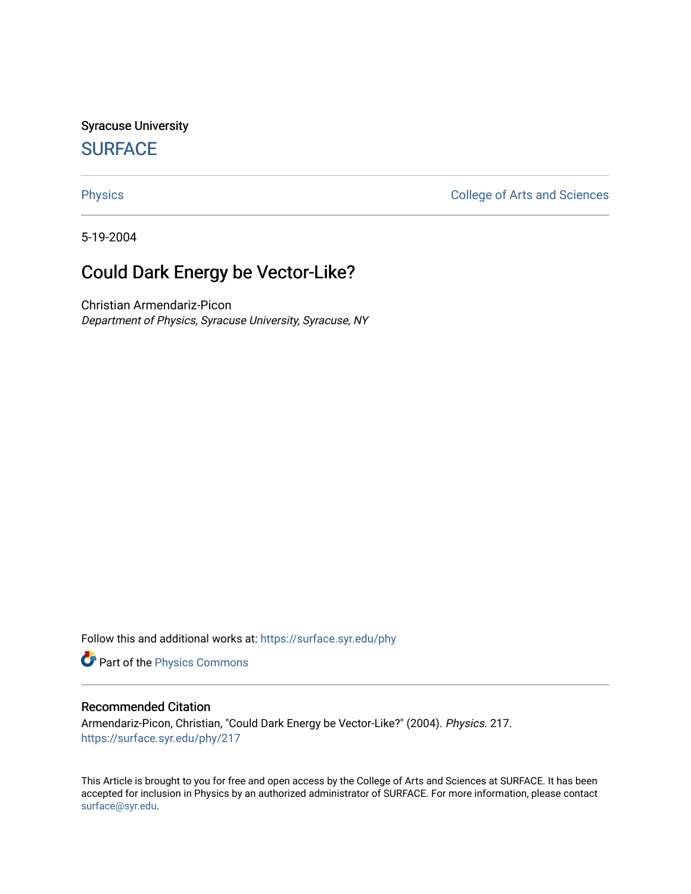Syracuse University **[SURFACE](https://surface.syr.edu/)** 

[Physics](https://surface.syr.edu/phy) **College of Arts and Sciences** 

5-19-2004

# Could Dark Energy be Vector-Like?

Christian Armendariz-Picon Department of Physics, Syracuse University, Syracuse, NY

Follow this and additional works at: [https://surface.syr.edu/phy](https://surface.syr.edu/phy?utm_source=surface.syr.edu%2Fphy%2F217&utm_medium=PDF&utm_campaign=PDFCoverPages)

Part of the [Physics Commons](http://network.bepress.com/hgg/discipline/193?utm_source=surface.syr.edu%2Fphy%2F217&utm_medium=PDF&utm_campaign=PDFCoverPages)

# Recommended Citation

Armendariz-Picon, Christian, "Could Dark Energy be Vector-Like?" (2004). Physics. 217. [https://surface.syr.edu/phy/217](https://surface.syr.edu/phy/217?utm_source=surface.syr.edu%2Fphy%2F217&utm_medium=PDF&utm_campaign=PDFCoverPages)

This Article is brought to you for free and open access by the College of Arts and Sciences at SURFACE. It has been accepted for inclusion in Physics by an authorized administrator of SURFACE. For more information, please contact [surface@syr.edu.](mailto:surface@syr.edu)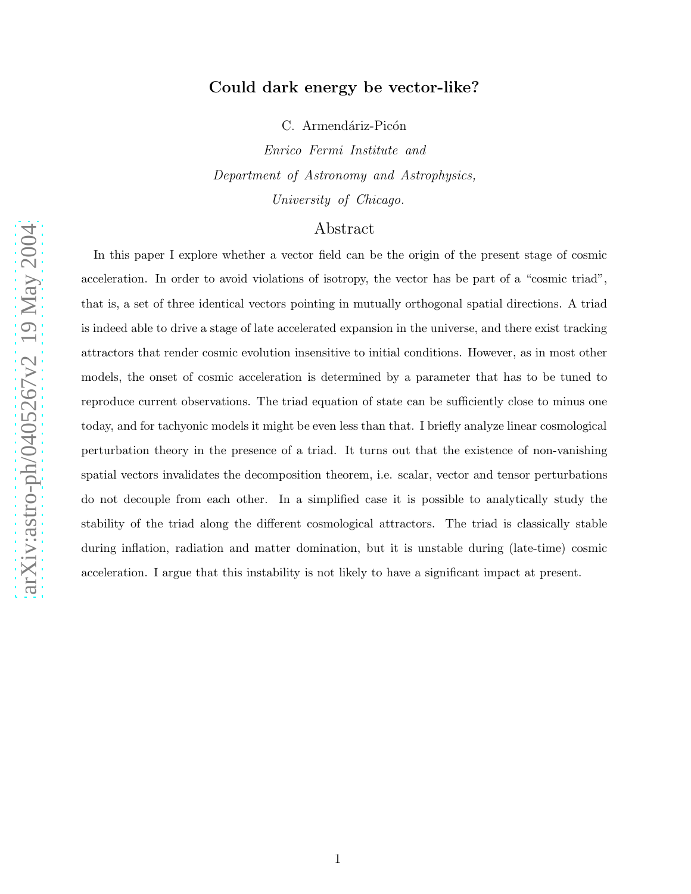# Could dark energy be vector-like?

C. Armendáriz-Picón

Enrico Fermi Institute and Department of Astronomy and Astrophysics, University of Chicago.

# Abstract

In this paper I explore whether a vector field can be the origin of the present stage of cosmic acceleration. In order to avoid violations of isotropy, the vector has be part of a "cosmic triad", that is, a set of three identical vectors pointing in mutually orthogonal spatial directions. A triad is indeed able to drive a stage of late accelerated expansion in the universe, and there exist tracking attractors that render cosmic evolution insensitive to initial conditions. However, as in most other models, the onset of cosmic acceleration is determined by a parameter that has to be tuned to reproduce current observations. The triad equation of state can be sufficiently close to minus one today, and for tachyonic models it might be even less than that. I briefly analyze linear cosmological perturbation theory in the presence of a triad. It turns out that the existence of non-vanishing spatial vectors invalidates the decomposition theorem, i.e. scalar, vector and tensor perturbations do not decouple from each other. In a simplified case it is possible to analytically study the stability of the triad along the different cosmological attractors. The triad is classically stable during inflation, radiation and matter domination, but it is unstable during (late-time) cosmic acceleration. I argue that this instability is not likely to have a significant impact at present.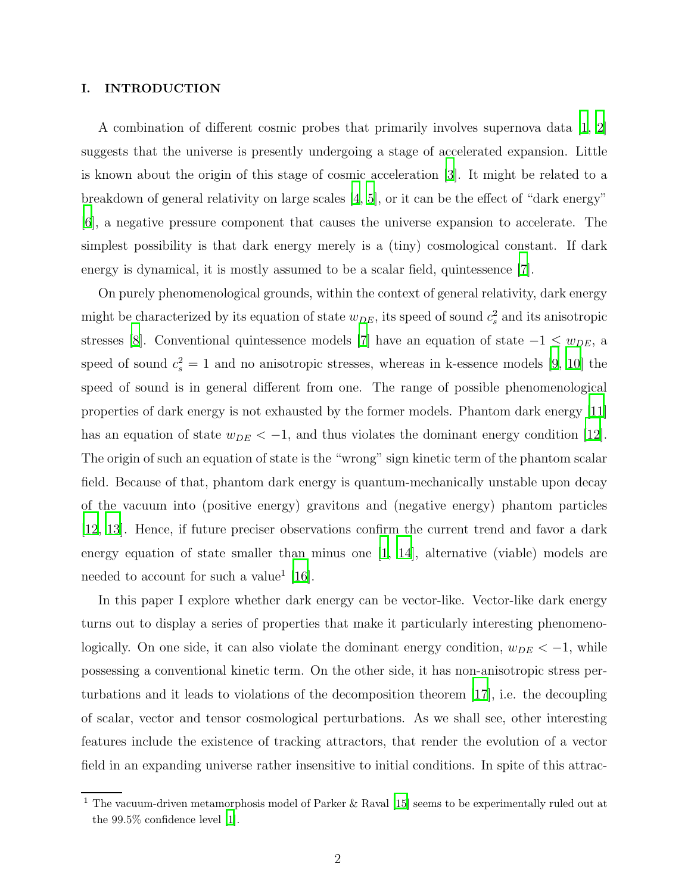## I. INTRODUCTION

A combination of different cosmic probes that primarily involves supernova data  $\ket{1, 2}$ suggests that the universe is presently undergoing a stage of accelerated expansion. Little is known about the origin of this stage of cosmic acceleration [\[3](#page-24-2)]. It might be related to a breakdown of general relativity on large scales [\[4](#page-24-3), [5\]](#page-24-4), or it can be the effect of "dark energy" [\[6](#page-24-5)], a negative pressure component that causes the universe expansion to accelerate. The simplest possibility is that dark energy merely is a (tiny) cosmological constant. If dark energy is dynamical, it is mostly assumed to be a scalar field, quintessence [\[7](#page-25-0)].

On purely phenomenological grounds, within the context of general relativity, dark energy might be characterized by its equation of state  $w_{DE}$ , its speed of sound  $c_s^2$  and its anisotropic stresses [\[8\]](#page-25-1). Conventional quintessence models [\[7](#page-25-0)] have an equation of state  $-1 \le w_{DE}$ , a speed of sound  $c_s^2 = 1$  and no anisotropic stresses, whereas in k-essence models [\[9](#page-25-2), [10](#page-25-3)] the speed of sound is in general different from one. The range of possible phenomenological properties of dark energy is not exhausted by the former models. Phantom dark energy [\[11\]](#page-25-4) has an equation of state  $w_{DE} < -1$ , and thus violates the dominant energy condition [\[12\]](#page-25-5). The origin of such an equation of state is the "wrong" sign kinetic term of the phantom scalar field. Because of that, phantom dark energy is quantum-mechanically unstable upon decay of the vacuum into (positive energy) gravitons and (negative energy) phantom particles [\[12](#page-25-5), [13](#page-25-6)]. Hence, if future preciser observations confirm the current trend and favor a dark energy equation of state smaller than minus one [\[1,](#page-24-0) [14\]](#page-25-7), alternative (viable) models are needed to account for such a value<sup>1</sup> [\[16\]](#page-25-8).

In this paper I explore whether dark energy can be vector-like. Vector-like dark energy turns out to display a series of properties that make it particularly interesting phenomenologically. On one side, it can also violate the dominant energy condition,  $w_{DE} < -1$ , while possessing a conventional kinetic term. On the other side, it has non-anisotropic stress perturbations and it leads to violations of the decomposition theorem [\[17](#page-25-9)], i.e. the decoupling of scalar, vector and tensor cosmological perturbations. As we shall see, other interesting features include the existence of tracking attractors, that render the evolution of a vector field in an expanding universe rather insensitive to initial conditions. In spite of this attrac-

<sup>1</sup> The vacuum-driven metamorphosis model of Parker & Raval [\[15\]](#page-25-10) seems to be experimentally ruled out at the 99.5% confidence level [\[1\]](#page-24-0).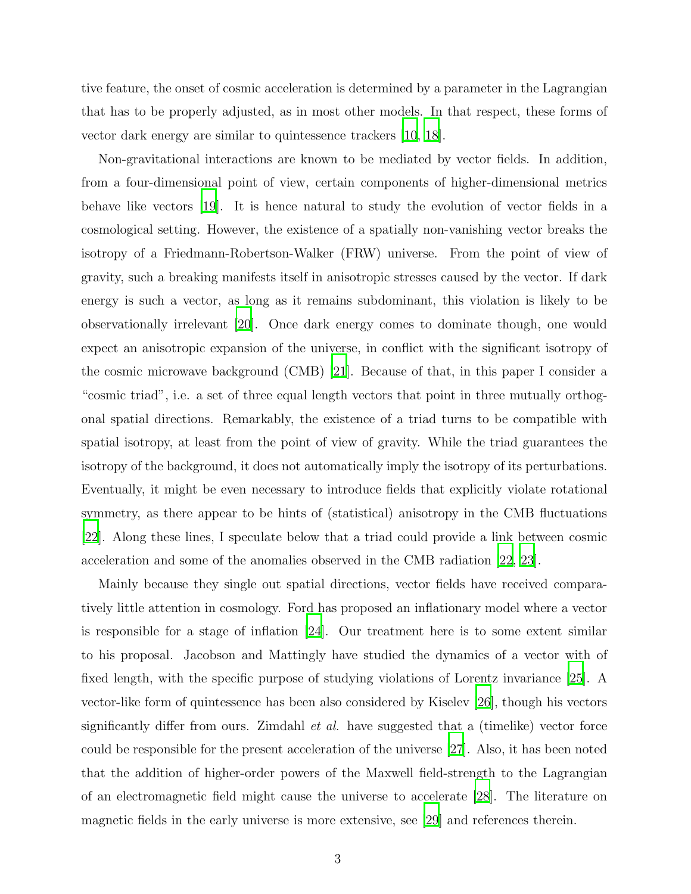tive feature, the onset of cosmic acceleration is determined by a parameter in the Lagrangian that has to be properly adjusted, as in most other models. In that respect, these forms of vector dark energy are similar to quintessence trackers [\[10,](#page-25-3) [18\]](#page-25-11).

Non-gravitational interactions are known to be mediated by vector fields. In addition, from a four-dimensional point of view, certain components of higher-dimensional metrics behave like vectors [\[19\]](#page-26-0). It is hence natural to study the evolution of vector fields in a cosmological setting. However, the existence of a spatially non-vanishing vector breaks the isotropy of a Friedmann-Robertson-Walker (FRW) universe. From the point of view of gravity, such a breaking manifests itself in anisotropic stresses caused by the vector. If dark energy is such a vector, as long as it remains subdominant, this violation is likely to be observationally irrelevant [\[20](#page-26-1)]. Once dark energy comes to dominate though, one would expect an anisotropic expansion of the universe, in conflict with the significant isotropy of the cosmic microwave background (CMB) [\[21](#page-26-2)]. Because of that, in this paper I consider a "cosmic triad", i.e. a set of three equal length vectors that point in three mutually orthogonal spatial directions. Remarkably, the existence of a triad turns to be compatible with spatial isotropy, at least from the point of view of gravity. While the triad guarantees the isotropy of the background, it does not automatically imply the isotropy of its perturbations. Eventually, it might be even necessary to introduce fields that explicitly violate rotational symmetry, as there appear to be hints of (statistical) anisotropy in the CMB fluctuations [\[22](#page-26-3)]. Along these lines, I speculate below that a triad could provide a link between cosmic acceleration and some of the anomalies observed in the CMB radiation [\[22](#page-26-3), [23](#page-26-4)].

Mainly because they single out spatial directions, vector fields have received comparatively little attention in cosmology. Ford has proposed an inflationary model where a vector is responsible for a stage of inflation [\[24\]](#page-26-5). Our treatment here is to some extent similar to his proposal. Jacobson and Mattingly have studied the dynamics of a vector with of fixed length, with the specific purpose of studying violations of Lorentz invariance [\[25\]](#page-26-6). A vector-like form of quintessence has been also considered by Kiselev [\[26\]](#page-26-7), though his vectors significantly differ from ours. Zimdahl *et al.* have suggested that a (timelike) vector force could be responsible for the present acceleration of the universe [\[27\]](#page-26-8). Also, it has been noted that the addition of higher-order powers of the Maxwell field-strength to the Lagrangian of an electromagnetic field might cause the universe to accelerate [\[28](#page-26-9)]. The literature on magnetic fields in the early universe is more extensive, see [\[29](#page-27-0)] and references therein.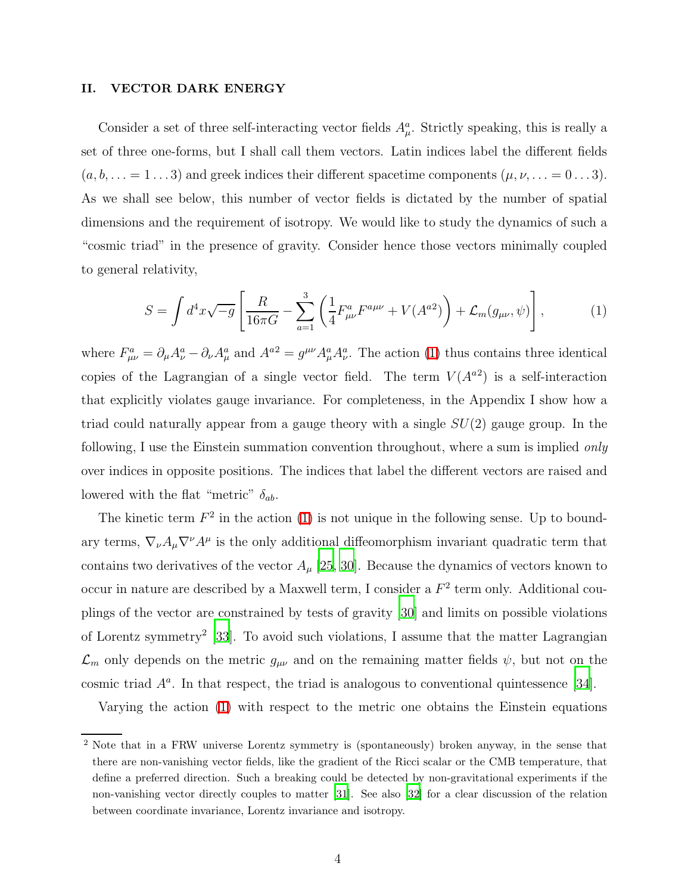## II. VECTOR DARK ENERGY

Consider a set of three self-interacting vector fields  $A^a_\mu$ . Strictly speaking, this is really a set of three one-forms, but I shall call them vectors. Latin indices label the different fields  $(a, b, \ldots = 1 \ldots 3)$  and greek indices their different spacetime components  $(\mu, \nu, \ldots = 0 \ldots 3)$ . As we shall see below, this number of vector fields is dictated by the number of spatial dimensions and the requirement of isotropy. We would like to study the dynamics of such a "cosmic triad" in the presence of gravity. Consider hence those vectors minimally coupled to general relativity,

<span id="page-4-0"></span>
$$
S = \int d^4x \sqrt{-g} \left[ \frac{R}{16\pi G} - \sum_{a=1}^3 \left( \frac{1}{4} F^a_{\mu\nu} F^{a\mu\nu} + V(A^{a2}) \right) + \mathcal{L}_m(g_{\mu\nu}, \psi) \right],\tag{1}
$$

where  $F_{\mu\nu}^a = \partial_\mu A_\nu^a - \partial_\nu A_\mu^a$  and  $A^{a2} = g^{\mu\nu} A_\mu^a A_\nu^a$ . The action [\(1\)](#page-4-0) thus contains three identical copies of the Lagrangian of a single vector field. The term  $V(A^{a2})$  is a self-interaction that explicitly violates gauge invariance. For completeness, in the Appendix I show how a triad could naturally appear from a gauge theory with a single  $SU(2)$  gauge group. In the following, I use the Einstein summation convention throughout, where a sum is implied *only* over indices in opposite positions. The indices that label the different vectors are raised and lowered with the flat "metric"  $\delta_{ab}$ .

The kinetic term  $F^2$  in the action [\(1\)](#page-4-0) is not unique in the following sense. Up to boundary terms,  $\nabla_{\nu}A_{\mu}\nabla^{\nu}A^{\mu}$  is the only additional diffeomorphism invariant quadratic term that contains two derivatives of the vector  $A_\mu$  [\[25](#page-26-6), [30\]](#page-27-1). Because the dynamics of vectors known to occur in nature are described by a Maxwell term, I consider a  $F^2$  term only. Additional couplings of the vector are constrained by tests of gravity [\[30](#page-27-1)] and limits on possible violations of Lorentz symmetry<sup>2</sup> [\[33](#page-27-2)]. To avoid such violations, I assume that the matter Lagrangian  $\mathcal{L}_m$  only depends on the metric  $g_{\mu\nu}$  and on the remaining matter fields  $\psi$ , but not on the cosmic triad  $A^a$ . In that respect, the triad is analogous to conventional quintessence [\[34\]](#page-27-3).

Varying the action [\(1\)](#page-4-0) with respect to the metric one obtains the Einstein equations

<sup>&</sup>lt;sup>2</sup> Note that in a FRW universe Lorentz symmetry is (spontaneously) broken anyway, in the sense that there are non-vanishing vector fields, like the gradient of the Ricci scalar or the CMB temperature, that define a preferred direction. Such a breaking could be detected by non-gravitational experiments if the non-vanishing vector directly couples to matter [\[31](#page-27-4)]. See also [\[32\]](#page-27-5) for a clear discussion of the relation between coordinate invariance, Lorentz invariance and isotropy.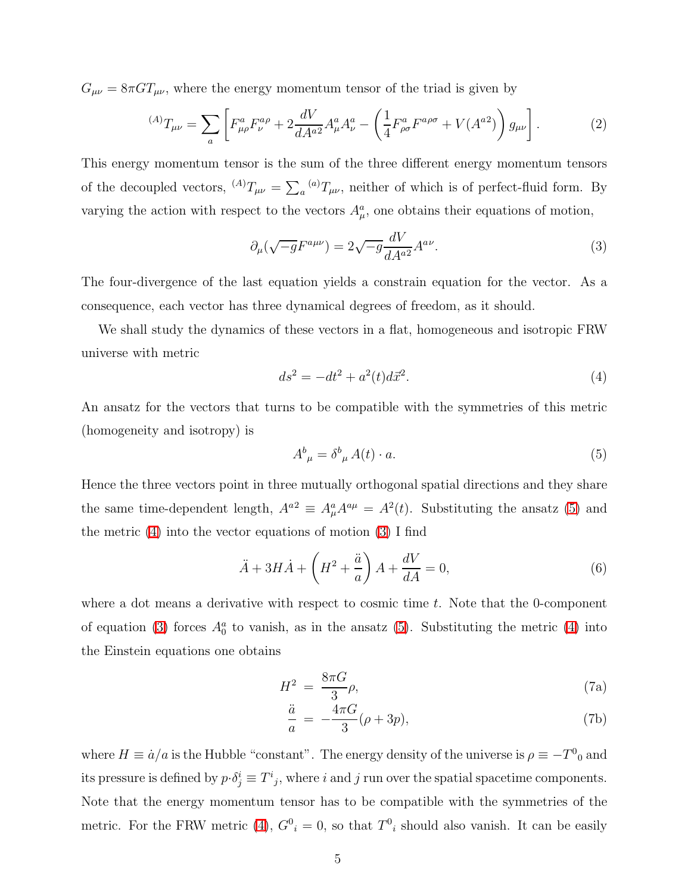$G_{\mu\nu} = 8\pi G T_{\mu\nu}$ , where the energy momentum tensor of the triad is given by

$$
{}^{(A)}T_{\mu\nu} = \sum_{a} \left[ F^{a}_{\mu\rho} F^{a\rho}_{\nu} + 2 \frac{dV}{dA^{a2}} A^{a}_{\mu} A^{a}_{\nu} - \left( \frac{1}{4} F^{a}_{\rho\sigma} F^{a\rho\sigma} + V(A^{a2}) \right) g_{\mu\nu} \right].
$$
 (2)

This energy momentum tensor is the sum of the three different energy momentum tensors of the decoupled vectors,  ${}^{(A)}T_{\mu\nu} = \sum_a {}^{(a)}T_{\mu\nu}$ , neither of which is of perfect-fluid form. By varying the action with respect to the vectors  $A^a_\mu$ , one obtains their equations of motion,

<span id="page-5-6"></span><span id="page-5-2"></span>
$$
\partial_{\mu}(\sqrt{-g}F^{a\mu\nu}) = 2\sqrt{-g}\frac{dV}{dA^{a2}}A^{a\nu}.
$$
\n(3)

The four-divergence of the last equation yields a constrain equation for the vector. As a consequence, each vector has three dynamical degrees of freedom, as it should.

<span id="page-5-1"></span>We shall study the dynamics of these vectors in a flat, homogeneous and isotropic FRW universe with metric

$$
ds^2 = -dt^2 + a^2(t)d\vec{x}^2.
$$
\n(4)

<span id="page-5-0"></span>An ansatz for the vectors that turns to be compatible with the symmetries of this metric (homogeneity and isotropy) is

<span id="page-5-3"></span>
$$
A^b{}_{\mu} = \delta^b{}_{\mu} A(t) \cdot a. \tag{5}
$$

Hence the three vectors point in three mutually orthogonal spatial directions and they share the same time-dependent length,  $A^{a2} \equiv A^a_\mu A^{a\mu} = A^2(t)$ . Substituting the ansatz [\(5\)](#page-5-0) and the metric [\(4\)](#page-5-1) into the vector equations of motion [\(3\)](#page-5-2) I find

<span id="page-5-5"></span>
$$
\ddot{A} + 3H\dot{A} + \left(H^2 + \frac{\ddot{a}}{a}\right)A + \frac{dV}{dA} = 0,\tag{6}
$$

where a dot means a derivative with respect to cosmic time  $t$ . Note that the 0-component of equation [\(3\)](#page-5-2) forces  $A_0^a$  to vanish, as in the ansatz [\(5\)](#page-5-0). Substituting the metric [\(4\)](#page-5-1) into the Einstein equations one obtains

<span id="page-5-4"></span>
$$
H^2 = \frac{8\pi G}{3}\rho,\tag{7a}
$$

$$
\frac{\ddot{a}}{a} = -\frac{4\pi G}{3}(\rho + 3p),\tag{7b}
$$

where  $H \equiv \dot{a}/a$  is the Hubble "constant". The energy density of the universe is  $\rho \equiv -T^0{}_0$  and its pressure is defined by  $p \cdot \delta_j^i \equiv T^i{}_j$ , where i and j run over the spatial spacetime components. Note that the energy momentum tensor has to be compatible with the symmetries of the metric. For the FRW metric [\(4\)](#page-5-1),  $G_i^0 = 0$ , so that  $T_i^0$  should also vanish. It can be easily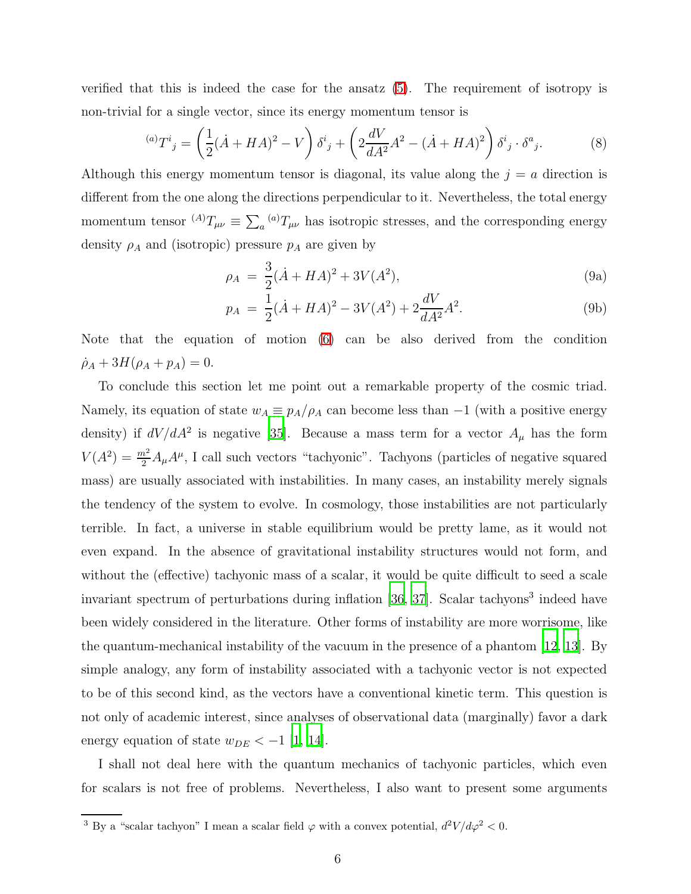verified that this is indeed the case for the ansatz [\(5\)](#page-5-0). The requirement of isotropy is non-trivial for a single vector, since its energy momentum tensor is

$$
^{(a)}T^{i}{}_{j} = \left(\frac{1}{2}(\dot{A} + HA)^{2} - V\right)\delta^{i}{}_{j} + \left(2\frac{dV}{dA^{2}}A^{2} - (\dot{A} + HA)^{2}\right)\delta^{i}{}_{j} \cdot \delta^{a}{}_{j}.\tag{8}
$$

Although this energy momentum tensor is diagonal, its value along the  $j = a$  direction is different from the one along the directions perpendicular to it. Nevertheless, the total energy momentum tensor  $^{(A)}T_{\mu\nu} \equiv \sum_a {^{(a)}}T_{\mu\nu}$  has isotropic stresses, and the corresponding energy density  $\rho_A$  and (isotropic) pressure  $p_A$  are given by

<span id="page-6-1"></span><span id="page-6-0"></span>
$$
\rho_A = \frac{3}{2}(\dot{A} + HA)^2 + 3V(A^2),\tag{9a}
$$

$$
p_A = \frac{1}{2}(\dot{A} + HA)^2 - 3V(A^2) + 2\frac{dV}{dA^2}A^2.
$$
 (9b)

Note that the equation of motion [\(6\)](#page-5-3) can be also derived from the condition  $\dot{\rho}_A + 3H(\rho_A + p_A) = 0.$ 

To conclude this section let me point out a remarkable property of the cosmic triad. Namely, its equation of state  $w_A \equiv p_A/\rho_A$  can become less than  $-1$  (with a positive energy density) if  $dV/dA^2$  is negative [\[35](#page-27-6)]. Because a mass term for a vector  $A_\mu$  has the form  $V(A^2) = \frac{m^2}{2} A_\mu A^\mu$ , I call such vectors "tachyonic". Tachyons (particles of negative squared mass) are usually associated with instabilities. In many cases, an instability merely signals the tendency of the system to evolve. In cosmology, those instabilities are not particularly terrible. In fact, a universe in stable equilibrium would be pretty lame, as it would not even expand. In the absence of gravitational instability structures would not form, and without the (effective) tachyonic mass of a scalar, it would be quite difficult to seed a scale invariant spectrum of perturbations during inflation [\[36](#page-27-7), [37](#page-27-8)]. Scalar tachyons<sup>3</sup> indeed have been widely considered in the literature. Other forms of instability are more worrisome, like the quantum-mechanical instability of the vacuum in the presence of a phantom [\[12,](#page-25-5) [13](#page-25-6)]. By simple analogy, any form of instability associated with a tachyonic vector is not expected to be of this second kind, as the vectors have a conventional kinetic term. This question is not only of academic interest, since analyses of observational data (marginally) favor a dark energy equation of state  $w_{DE} < -1$  [\[1,](#page-24-0) [14\]](#page-25-7).

I shall not deal here with the quantum mechanics of tachyonic particles, which even for scalars is not free of problems. Nevertheless, I also want to present some arguments

<sup>&</sup>lt;sup>3</sup> By a "scalar tachyon" I mean a scalar field  $\varphi$  with a convex potential,  $d^2V/d\varphi^2 < 0$ .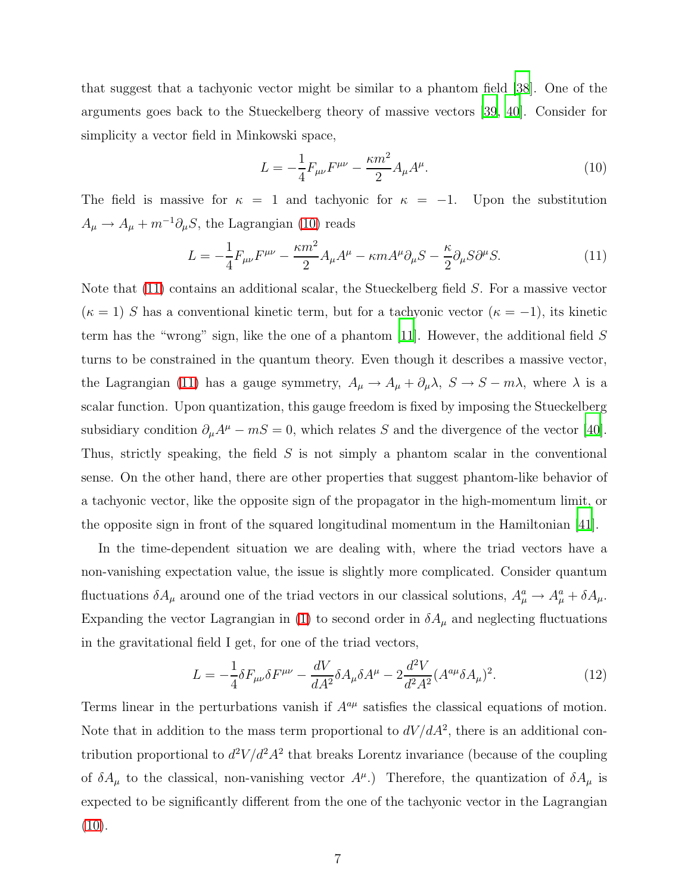that suggest that a tachyonic vector might be similar to a phantom field [\[38](#page-27-9)]. One of the arguments goes back to the Stueckelberg theory of massive vectors [\[39,](#page-27-10) [40\]](#page-28-0). Consider for simplicity a vector field in Minkowski space,

<span id="page-7-1"></span><span id="page-7-0"></span>
$$
L = -\frac{1}{4}F_{\mu\nu}F^{\mu\nu} - \frac{\kappa m^2}{2}A_{\mu}A^{\mu}.
$$
 (10)

The field is massive for  $\kappa = 1$  and tachyonic for  $\kappa = -1$ . Upon the substitution  $A_{\mu} \rightarrow A_{\mu} + m^{-1} \partial_{\mu} S$ , the Lagrangian [\(10\)](#page-7-0) reads

$$
L = -\frac{1}{4}F_{\mu\nu}F^{\mu\nu} - \frac{\kappa m^2}{2}A_{\mu}A^{\mu} - \kappa m A^{\mu}\partial_{\mu}S - \frac{\kappa}{2}\partial_{\mu}S\partial^{\mu}S. \tag{11}
$$

Note that [\(11\)](#page-7-1) contains an additional scalar, the Stueckelberg field S. For a massive vector  $(\kappa = 1)$  S has a conventional kinetic term, but for a tachyonic vector  $(\kappa = -1)$ , its kinetic term has the "wrong" sign, like the one of a phantom [\[11\]](#page-25-4). However, the additional field S turns to be constrained in the quantum theory. Even though it describes a massive vector, the Lagrangian [\(11\)](#page-7-1) has a gauge symmetry,  $A_{\mu} \to A_{\mu} + \partial_{\mu} \lambda$ ,  $S \to S - m\lambda$ , where  $\lambda$  is a scalar function. Upon quantization, this gauge freedom is fixed by imposing the Stueckelberg subsidiary condition  $\partial_{\mu}A^{\mu} - mS = 0$ , which relates S and the divergence of the vector [\[40\]](#page-28-0). Thus, strictly speaking, the field S is not simply a phantom scalar in the conventional sense. On the other hand, there are other properties that suggest phantom-like behavior of a tachyonic vector, like the opposite sign of the propagator in the high-momentum limit, or the opposite sign in front of the squared longitudinal momentum in the Hamiltonian [\[41\]](#page-28-1).

In the time-dependent situation we are dealing with, where the triad vectors have a non-vanishing expectation value, the issue is slightly more complicated. Consider quantum fluctuations  $\delta A_\mu$  around one of the triad vectors in our classical solutions,  $A_\mu^a \to A_\mu^a + \delta A_\mu$ . Expanding the vector Lagrangian in [\(1\)](#page-4-0) to second order in  $\delta A_\mu$  and neglecting fluctuations in the gravitational field I get, for one of the triad vectors,

$$
L = -\frac{1}{4}\delta F_{\mu\nu}\delta F^{\mu\nu} - \frac{dV}{dA^2}\delta A_{\mu}\delta A^{\mu} - 2\frac{d^2V}{d^2A^2}(A^{a\mu}\delta A_{\mu})^2. \tag{12}
$$

Terms linear in the perturbations vanish if  $A^{a\mu}$  satisfies the classical equations of motion. Note that in addition to the mass term proportional to  $dV/dA^2$ , there is an additional contribution proportional to  $d^2V/d^2A^2$  that breaks Lorentz invariance (because of the coupling of  $\delta A_\mu$  to the classical, non-vanishing vector  $A^\mu$ .) Therefore, the quantization of  $\delta A_\mu$  is expected to be significantly different from the one of the tachyonic vector in the Lagrangian  $(10).$  $(10).$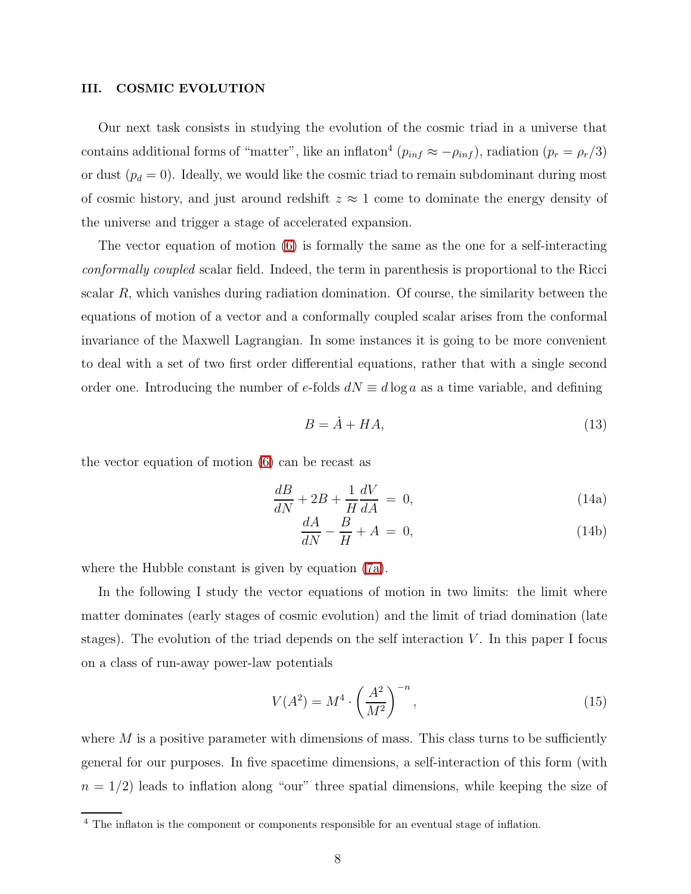### <span id="page-8-2"></span>III. COSMIC EVOLUTION

Our next task consists in studying the evolution of the cosmic triad in a universe that contains additional forms of "matter", like an inflaton<sup>4</sup> ( $p_{inf} \approx -\rho_{inf}$ ), radiation ( $p_r = \rho_r/3$ ) or dust  $(p_d = 0)$ . Ideally, we would like the cosmic triad to remain subdominant during most of cosmic history, and just around redshift  $z \approx 1$  come to dominate the energy density of the universe and trigger a stage of accelerated expansion.

The vector equation of motion [\(6\)](#page-5-3) is formally the same as the one for a self-interacting conformally coupled scalar field. Indeed, the term in parenthesis is proportional to the Ricci scalar  $R$ , which vanishes during radiation domination. Of course, the similarity between the equations of motion of a vector and a conformally coupled scalar arises from the conformal invariance of the Maxwell Lagrangian. In some instances it is going to be more convenient to deal with a set of two first order differential equations, rather that with a single second order one. Introducing the number of e-folds  $dN \equiv d \log a$  as a time variable, and defining

<span id="page-8-1"></span>
$$
B = \dot{A} + HA,\tag{13}
$$

the vector equation of motion [\(6\)](#page-5-3) can be recast as

$$
\frac{dB}{dN} + 2B + \frac{1}{H}\frac{dV}{dA} = 0,\t(14a)
$$

$$
\frac{dA}{dN} - \frac{B}{H} + A = 0,\t(14b)
$$

where the Hubble constant is given by equation [\(7a\)](#page-5-4).

In the following I study the vector equations of motion in two limits: the limit where matter dominates (early stages of cosmic evolution) and the limit of triad domination (late stages). The evolution of the triad depends on the self interaction  $V$ . In this paper I focus on a class of run-away power-law potentials

<span id="page-8-0"></span>
$$
V(A^2) = M^4 \cdot \left(\frac{A^2}{M^2}\right)^{-n},\tag{15}
$$

where  $M$  is a positive parameter with dimensions of mass. This class turns to be sufficiently general for our purposes. In five spacetime dimensions, a self-interaction of this form (with  $n = 1/2$ ) leads to inflation along "our" three spatial dimensions, while keeping the size of

<sup>&</sup>lt;sup>4</sup> The inflaton is the component or components responsible for an eventual stage of inflation.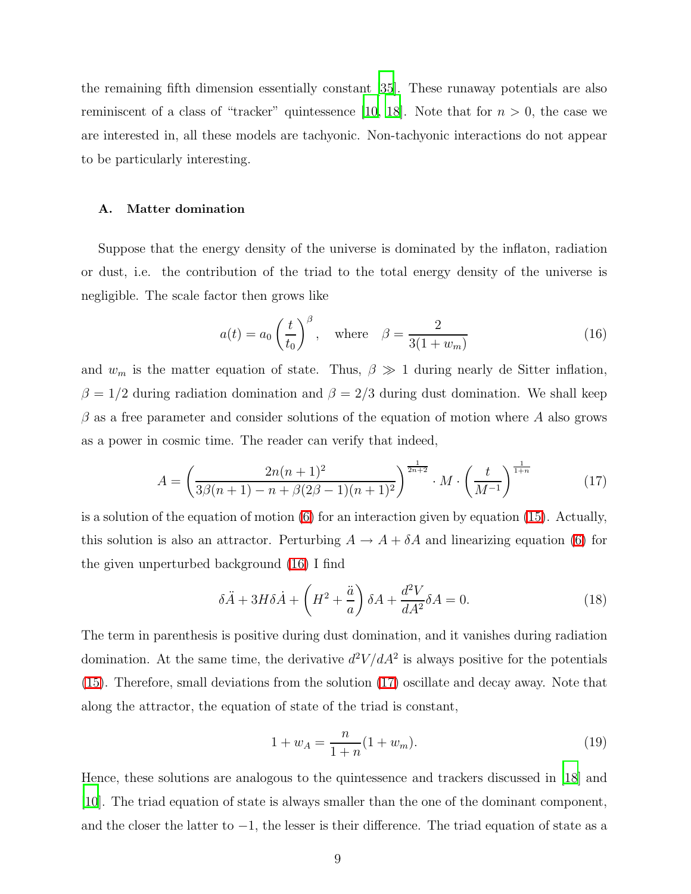the remaining fifth dimension essentially constant [\[35\]](#page-27-6). These runaway potentials are also reminiscent of a class of "tracker" quintessence [\[10,](#page-25-3) [18](#page-25-11)]. Note that for  $n > 0$ , the case we are interested in, all these models are tachyonic. Non-tachyonic interactions do not appear to be particularly interesting.

#### A. Matter domination

Suppose that the energy density of the universe is dominated by the inflaton, radiation or dust, i.e. the contribution of the triad to the total energy density of the universe is negligible. The scale factor then grows like

<span id="page-9-1"></span><span id="page-9-0"></span>
$$
a(t) = a_0 \left(\frac{t}{t_0}\right)^{\beta}, \quad \text{where} \quad \beta = \frac{2}{3(1+w_m)}\tag{16}
$$

and  $w_m$  is the matter equation of state. Thus,  $\beta \gg 1$  during nearly de Sitter inflation,  $\beta = 1/2$  during radiation domination and  $\beta = 2/3$  during dust domination. We shall keep  $\beta$  as a free parameter and consider solutions of the equation of motion where A also grows as a power in cosmic time. The reader can verify that indeed,

$$
A = \left(\frac{2n(n+1)^2}{3\beta(n+1) - n + \beta(2\beta - 1)(n+1)^2}\right)^{\frac{1}{2n+2}} \cdot M \cdot \left(\frac{t}{M^{-1}}\right)^{\frac{1}{1+n}} \tag{17}
$$

is a solution of the equation of motion [\(6\)](#page-5-3) for an interaction given by equation [\(15\)](#page-8-0). Actually, this solution is also an attractor. Perturbing  $A \to A + \delta A$  and linearizing equation [\(6\)](#page-5-3) for the given unperturbed background [\(16\)](#page-9-0) I find

$$
\delta \ddot{A} + 3H \delta \dot{A} + \left( H^2 + \frac{\ddot{a}}{a} \right) \delta A + \frac{d^2 V}{dA^2} \delta A = 0. \tag{18}
$$

The term in parenthesis is positive during dust domination, and it vanishes during radiation domination. At the same time, the derivative  $d^2V/dA^2$  is always positive for the potentials [\(15\)](#page-8-0). Therefore, small deviations from the solution [\(17\)](#page-9-1) oscillate and decay away. Note that along the attractor, the equation of state of the triad is constant,

<span id="page-9-2"></span>
$$
1 + w_A = \frac{n}{1 + n}(1 + w_m). \tag{19}
$$

Hence, these solutions are analogous to the quintessence and trackers discussed in [\[18](#page-25-11)] and [\[10](#page-25-3)]. The triad equation of state is always smaller than the one of the dominant component, and the closer the latter to −1, the lesser is their difference. The triad equation of state as a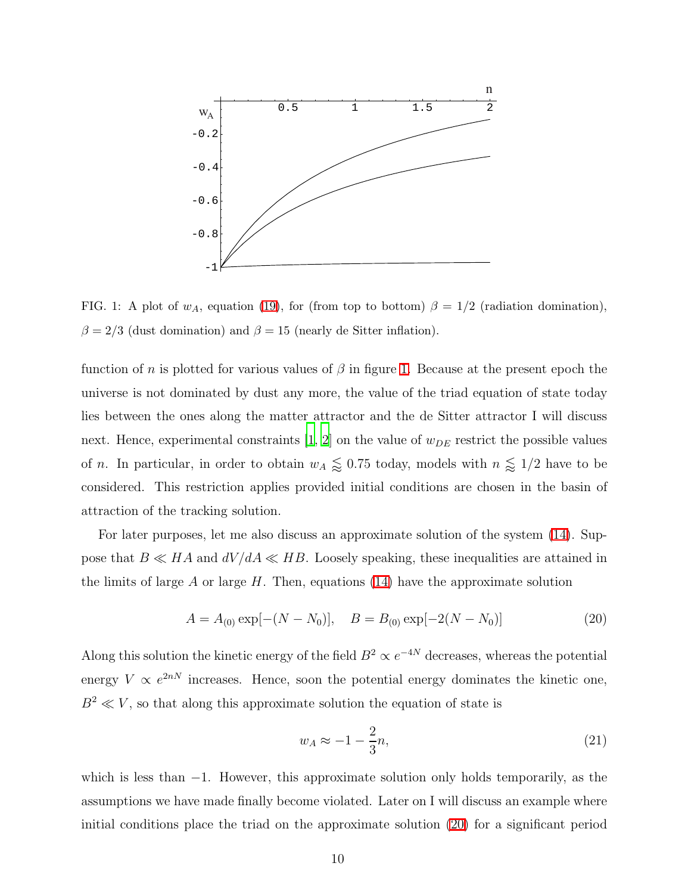

<span id="page-10-0"></span>FIG. 1: A plot of  $w_A$ , equation [\(19\)](#page-9-2), for (from top to bottom)  $\beta = 1/2$  (radiation domination),  $\beta = 2/3$  (dust domination) and  $\beta = 15$  (nearly de Sitter inflation).

function of n is plotted for various values of  $\beta$  in figure [1.](#page-10-0) Because at the present epoch the universe is not dominated by dust any more, the value of the triad equation of state today lies between the ones along the matter attractor and the de Sitter attractor I will discuss next. Hence, experimental constraints  $[1, 2]$  $[1, 2]$  $[1, 2]$  on the value of  $w_{DE}$  restrict the possible values of *n*. In particular, in order to obtain  $w_A \leq 0.75$  today, models with  $n \leq 1/2$  have to be considered. This restriction applies provided initial conditions are chosen in the basin of attraction of the tracking solution.

For later purposes, let me also discuss an approximate solution of the system [\(14\)](#page-8-1). Suppose that  $B \ll HA$  and  $dV/dA \ll HB$ . Loosely speaking, these inequalities are attained in the limits of large A or large H. Then, equations  $(14)$  have the approximate solution

$$
A = A_{(0)} \exp[-(N - N_0)], \quad B = B_{(0)} \exp[-2(N - N_0)] \tag{20}
$$

Along this solution the kinetic energy of the field  $B^2 \propto e^{-4N}$  decreases, whereas the potential energy  $V \propto e^{2nN}$  increases. Hence, soon the potential energy dominates the kinetic one,  $B<sup>2</sup> \ll V$ , so that along this approximate solution the equation of state is

<span id="page-10-2"></span><span id="page-10-1"></span>
$$
w_A \approx -1 - \frac{2}{3}n,\tag{21}
$$

which is less than  $-1$ . However, this approximate solution only holds temporarily, as the assumptions we have made finally become violated. Later on I will discuss an example where initial conditions place the triad on the approximate solution [\(20\)](#page-10-1) for a significant period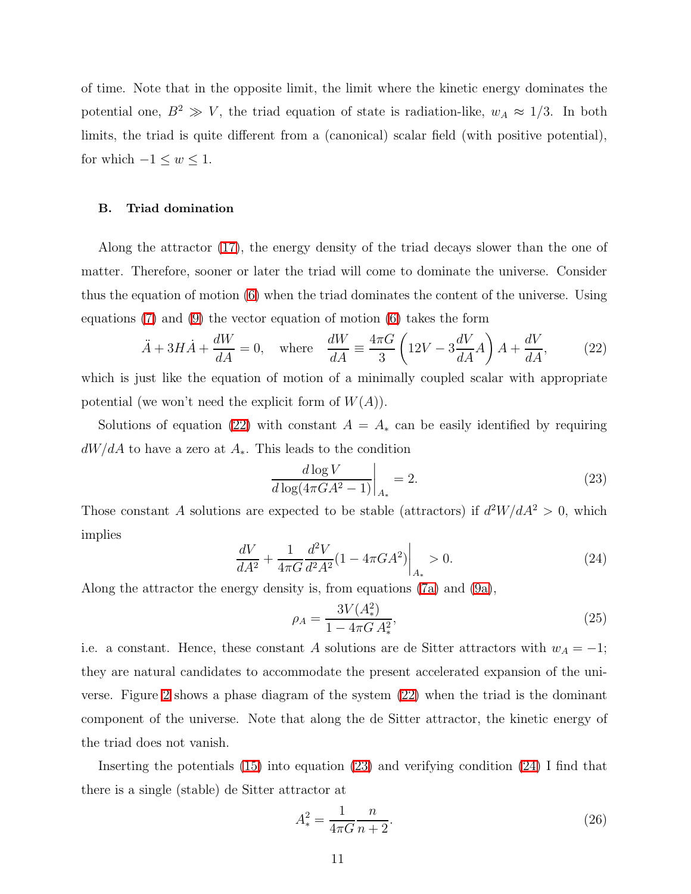of time. Note that in the opposite limit, the limit where the kinetic energy dominates the potential one,  $B^2 \gg V$ , the triad equation of state is radiation-like,  $w_A \approx 1/3$ . In both limits, the triad is quite different from a (canonical) scalar field (with positive potential), for which  $-1 \leq w \leq 1$ .

#### B. Triad domination

Along the attractor [\(17\)](#page-9-1), the energy density of the triad decays slower than the one of matter. Therefore, sooner or later the triad will come to dominate the universe. Consider thus the equation of motion [\(6\)](#page-5-3) when the triad dominates the content of the universe. Using equations  $(7)$  and  $(9)$  the vector equation of motion  $(6)$  takes the form

$$
\ddot{A} + 3H\dot{A} + \frac{dW}{dA} = 0, \quad \text{where} \quad \frac{dW}{dA} \equiv \frac{4\pi G}{3} \left( 12V - 3\frac{dV}{dA}A \right) A + \frac{dV}{dA}, \tag{22}
$$

which is just like the equation of motion of a minimally coupled scalar with appropriate potential (we won't need the explicit form of  $W(A)$ ).

Solutions of equation [\(22\)](#page-11-0) with constant  $A = A_*$  can be easily identified by requiring  $dW/dA$  to have a zero at  $A_{*}$ . This leads to the condition

<span id="page-11-1"></span><span id="page-11-0"></span>
$$
\left. \frac{d \log V}{d \log(4\pi GA^2 - 1)} \right|_{A_*} = 2. \tag{23}
$$

<span id="page-11-2"></span>Those constant A solutions are expected to be stable (attractors) if  $d^2W/dA^2 > 0$ , which implies

$$
\left. \frac{dV}{dA^2} + \frac{1}{4\pi G} \frac{d^2 V}{d^2 A^2} (1 - 4\pi G A^2) \right|_{A_*} > 0. \tag{24}
$$

Along the attractor the energy density is, from equations [\(7a\)](#page-5-4) and [\(9a\)](#page-6-1),

<span id="page-11-3"></span>
$$
\rho_A = \frac{3V(A_*^2)}{1 - 4\pi G A_*^2},\tag{25}
$$

i.e. a constant. Hence, these constant A solutions are de Sitter attractors with  $w_A = -1$ ; they are natural candidates to accommodate the present accelerated expansion of the universe. Figure [2](#page-12-0) shows a phase diagram of the system [\(22\)](#page-11-0) when the triad is the dominant component of the universe. Note that along the de Sitter attractor, the kinetic energy of the triad does not vanish.

Inserting the potentials [\(15\)](#page-8-0) into equation [\(23\)](#page-11-1) and verifying condition [\(24\)](#page-11-2) I find that there is a single (stable) de Sitter attractor at

<span id="page-11-4"></span>
$$
A_*^2 = \frac{1}{4\pi G} \frac{n}{n+2}.\tag{26}
$$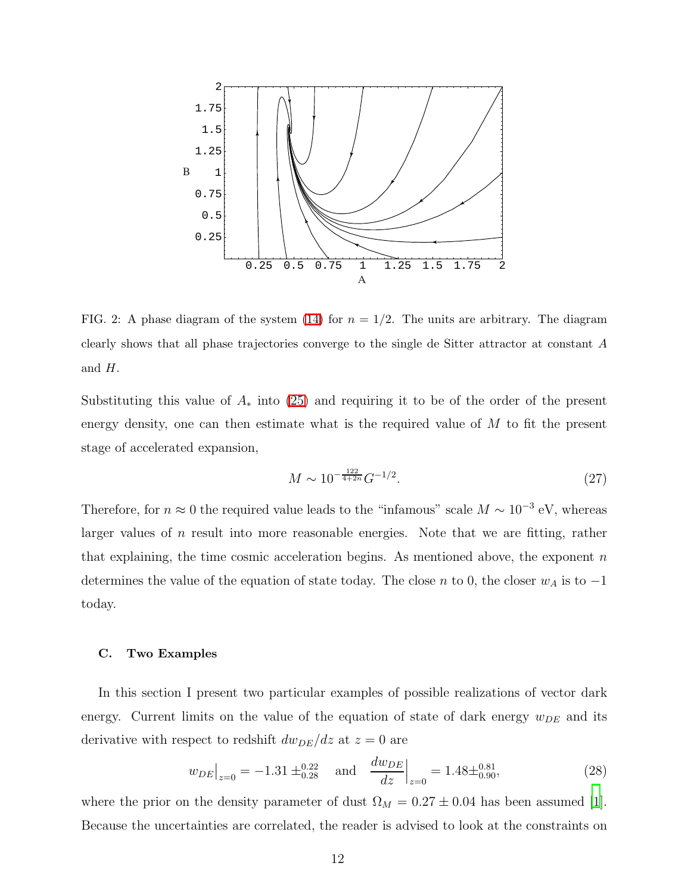

<span id="page-12-0"></span>FIG. 2: A phase diagram of the system [\(14\)](#page-8-1) for  $n = 1/2$ . The units are arbitrary. The diagram clearly shows that all phase trajectories converge to the single de Sitter attractor at constant A and H.

Substituting this value of  $A_*$  into [\(25\)](#page-11-3) and requiring it to be of the order of the present energy density, one can then estimate what is the required value of  $M$  to fit the present stage of accelerated expansion,

$$
M \sim 10^{-\frac{122}{4+2n}} G^{-1/2}.
$$
\n(27)

Therefore, for  $n \approx 0$  the required value leads to the "infamous" scale  $M \sim 10^{-3}$  eV, whereas larger values of n result into more reasonable energies. Note that we are fitting, rather that explaining, the time cosmic acceleration begins. As mentioned above, the exponent  $n$ determines the value of the equation of state today. The close n to 0, the closer  $w_A$  is to  $-1$ today.

# C. Two Examples

In this section I present two particular examples of possible realizations of vector dark energy. Current limits on the value of the equation of state of dark energy  $w_{DE}$  and its derivative with respect to redshift  $dw_{DE}/dz$  at  $z = 0$  are

<span id="page-12-1"></span>
$$
w_{DE}\big|_{z=0} = -1.31 \pm_{0.28}^{0.22} \quad \text{and} \quad \frac{dw_{DE}}{dz}\big|_{z=0} = 1.48 \pm_{0.90}^{0.81},\tag{28}
$$

where the prior on the density parameter of dust  $\Omega_M = 0.27 \pm 0.04$  has been assumed [\[1\]](#page-24-0). Because the uncertainties are correlated, the reader is advised to look at the constraints on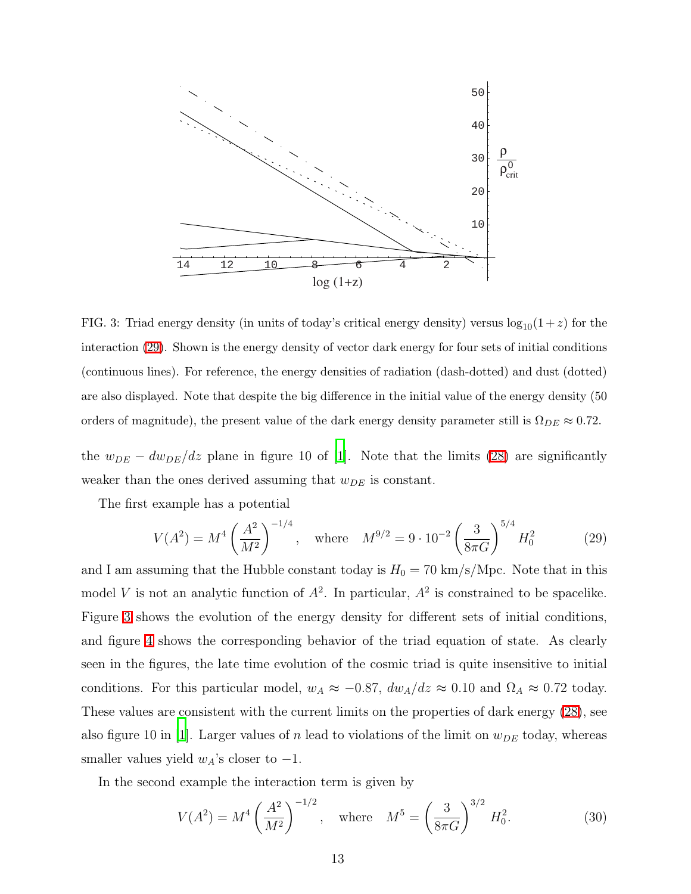

<span id="page-13-1"></span>FIG. 3: Triad energy density (in units of today's critical energy density) versus  $\log_{10}(1+z)$  for the interaction [\(29\)](#page-13-0). Shown is the energy density of vector dark energy for four sets of initial conditions (continuous lines). For reference, the energy densities of radiation (dash-dotted) and dust (dotted) are also displayed. Note that despite the big difference in the initial value of the energy density (50 orders of magnitude), the present value of the dark energy density parameter still is  $\Omega_{DE} \approx 0.72$ .

the  $w_{DE} - dw_{DE}/dz$  plane in figure 10 of [\[1\]](#page-24-0). Note that the limits [\(28\)](#page-12-1) are significantly weaker than the ones derived assuming that  $w_{DE}$  is constant.

The first example has a potential

<span id="page-13-0"></span>
$$
V(A^2) = M^4 \left(\frac{A^2}{M^2}\right)^{-1/4}, \quad \text{where} \quad M^{9/2} = 9 \cdot 10^{-2} \left(\frac{3}{8\pi G}\right)^{5/4} H_0^2 \tag{29}
$$

and I am assuming that the Hubble constant today is  $H_0 = 70 \text{ km/s/Mpc}$ . Note that in this model V is not an analytic function of  $A^2$ . In particular,  $A^2$  is constrained to be spacelike. Figure [3](#page-13-1) shows the evolution of the energy density for different sets of initial conditions, and figure [4](#page-14-0) shows the corresponding behavior of the triad equation of state. As clearly seen in the figures, the late time evolution of the cosmic triad is quite insensitive to initial conditions. For this particular model,  $w_A \approx -0.87$ ,  $dw_A/dz \approx 0.10$  and  $\Omega_A \approx 0.72$  today. These values are consistent with the current limits on the properties of dark energy [\(28\)](#page-12-1), see also figure 10 in [\[1\]](#page-24-0). Larger values of n lead to violations of the limit on  $w_{DE}$  today, whereas smaller values yield  $w_A$ 's closer to -1.

In the second example the interaction term is given by

<span id="page-13-2"></span>
$$
V(A^2) = M^4 \left(\frac{A^2}{M^2}\right)^{-1/2}, \quad \text{where} \quad M^5 = \left(\frac{3}{8\pi G}\right)^{3/2} H_0^2. \tag{30}
$$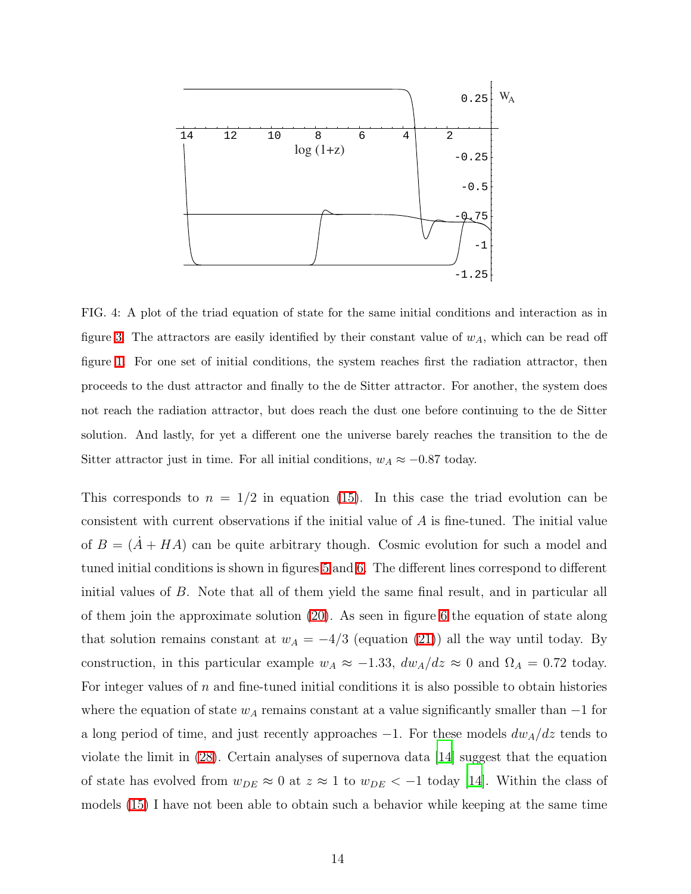

<span id="page-14-0"></span>FIG. 4: A plot of the triad equation of state for the same initial conditions and interaction as in figure [3.](#page-13-1) The attractors are easily identified by their constant value of  $w<sub>A</sub>$ , which can be read off figure [1.](#page-10-0) For one set of initial conditions, the system reaches first the radiation attractor, then proceeds to the dust attractor and finally to the de Sitter attractor. For another, the system does not reach the radiation attractor, but does reach the dust one before continuing to the de Sitter solution. And lastly, for yet a different one the universe barely reaches the transition to the de Sitter attractor just in time. For all initial conditions,  $w_A \approx -0.87$  today.

This corresponds to  $n = 1/2$  in equation [\(15\)](#page-8-0). In this case the triad evolution can be consistent with current observations if the initial value of A is fine-tuned. The initial value of  $B = (A + HA)$  can be quite arbitrary though. Cosmic evolution for such a model and tuned initial conditions is shown in figures [5](#page-15-0) and [6.](#page-15-1) The different lines correspond to different initial values of B. Note that all of them yield the same final result, and in particular all of them join the approximate solution [\(20\)](#page-10-1). As seen in figure [6](#page-15-1) the equation of state along that solution remains constant at  $w_A = -4/3$  (equation [\(21\)](#page-10-2)) all the way until today. By construction, in this particular example  $w_A \approx -1.33$ ,  $dw_A/dz \approx 0$  and  $\Omega_A = 0.72$  today. For integer values of n and fine-tuned initial conditions it is also possible to obtain histories where the equation of state  $w_A$  remains constant at a value significantly smaller than  $-1$  for a long period of time, and just recently approaches  $-1$ . For these models  $dw_A/dz$  tends to violate the limit in [\(28\)](#page-12-1). Certain analyses of supernova data [\[14](#page-25-7)] suggest that the equation of state has evolved from  $w_{DE} \approx 0$  at  $z \approx 1$  to  $w_{DE} < -1$  today [\[14\]](#page-25-7). Within the class of models [\(15\)](#page-8-0) I have not been able to obtain such a behavior while keeping at the same time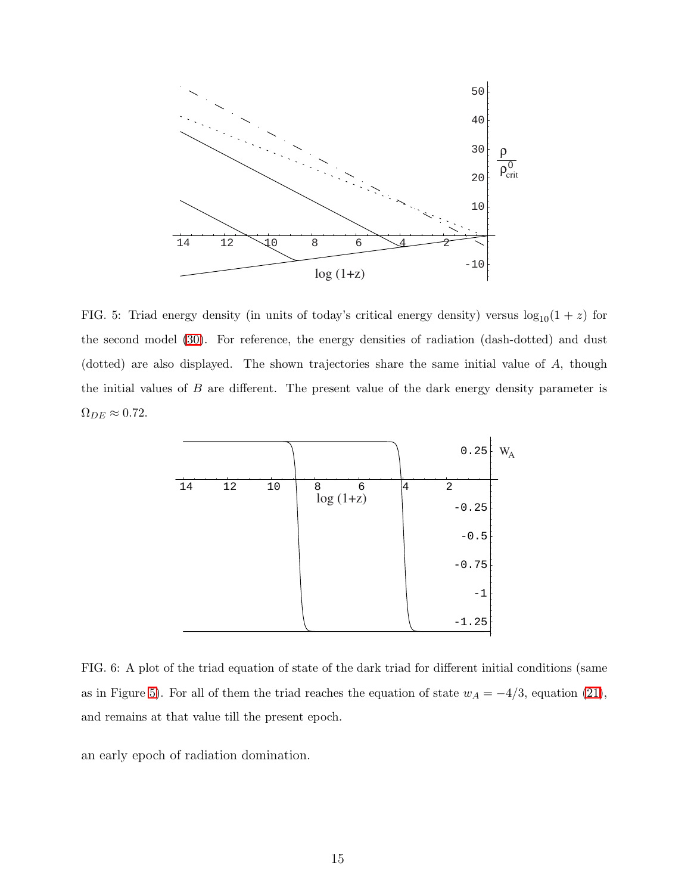

<span id="page-15-0"></span>FIG. 5: Triad energy density (in units of today's critical energy density) versus  $log_{10}(1 + z)$  for the second model [\(30\)](#page-13-2). For reference, the energy densities of radiation (dash-dotted) and dust (dotted) are also displayed. The shown trajectories share the same initial value of A, though the initial values of  $B$  are different. The present value of the dark energy density parameter is  $\Omega_{DE} \approx 0.72$ .



<span id="page-15-1"></span>FIG. 6: A plot of the triad equation of state of the dark triad for different initial conditions (same as in Figure [5\)](#page-15-0). For all of them the triad reaches the equation of state  $w_A = -4/3$ , equation [\(21\)](#page-10-2), and remains at that value till the present epoch.

an early epoch of radiation domination.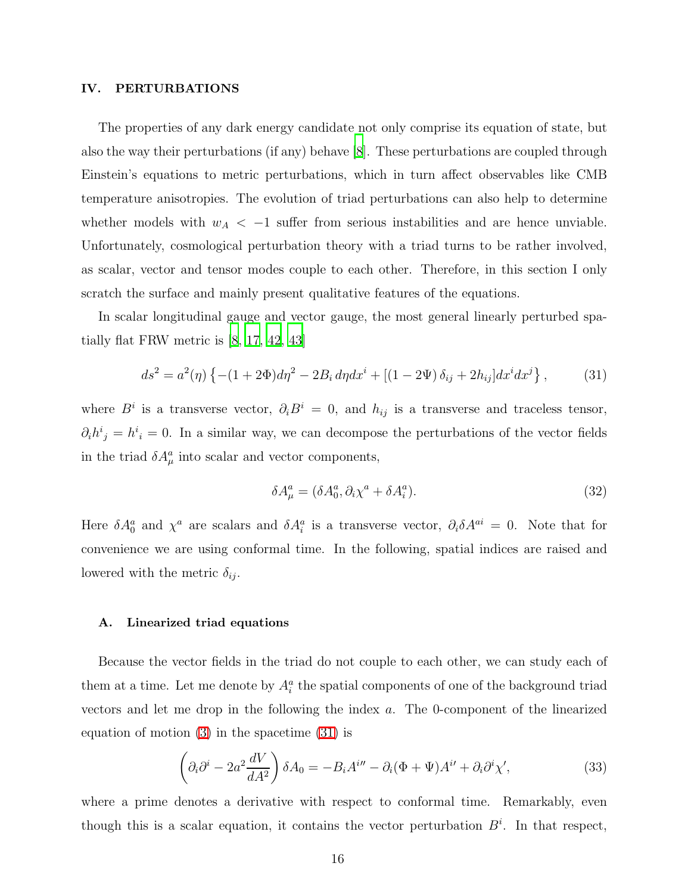# IV. PERTURBATIONS

The properties of any dark energy candidate not only comprise its equation of state, but also the way their perturbations (if any) behave [\[8\]](#page-25-1). These perturbations are coupled through Einstein's equations to metric perturbations, which in turn affect observables like CMB temperature anisotropies. The evolution of triad perturbations can also help to determine whether models with  $w_A < -1$  suffer from serious instabilities and are hence unviable. Unfortunately, cosmological perturbation theory with a triad turns to be rather involved, as scalar, vector and tensor modes couple to each other. Therefore, in this section I only scratch the surface and mainly present qualitative features of the equations.

In scalar longitudinal gauge and vector gauge, the most general linearly perturbed spatially flat FRW metric is [\[8](#page-25-1), [17](#page-25-9), [42](#page-28-2), [43\]](#page-28-3)

<span id="page-16-0"></span>
$$
ds^{2} = a^{2}(\eta) \left\{ -(1 + 2\Phi)d\eta^{2} - 2B_{i} d\eta dx^{i} + \left[ (1 - 2\Psi) \,\delta_{ij} + 2h_{ij} \right] dx^{i} dx^{j} \right\},\tag{31}
$$

where  $B^i$  is a transverse vector,  $\partial_i B^i = 0$ , and  $h_{ij}$  is a transverse and traceless tensor,  $\partial_i h^i{}_j = h^i{}_i = 0$ . In a similar way, we can decompose the perturbations of the vector fields in the triad  $\delta A^a_\mu$  into scalar and vector components,

<span id="page-16-2"></span>
$$
\delta A^a_\mu = (\delta A^a_0, \partial_i \chi^a + \delta A^a_i). \tag{32}
$$

Here  $\delta A_0^a$  and  $\chi^a$  are scalars and  $\delta A_i^a$  is a transverse vector,  $\partial_i \delta A^{ai} = 0$ . Note that for convenience we are using conformal time. In the following, spatial indices are raised and lowered with the metric  $\delta_{ij}$ .

#### A. Linearized triad equations

Because the vector fields in the triad do not couple to each other, we can study each of them at a time. Let me denote by  $A_i^a$  the spatial components of one of the background triad vectors and let me drop in the following the index a. The 0-component of the linearized equation of motion [\(3\)](#page-5-2) in the spacetime [\(31\)](#page-16-0) is

<span id="page-16-1"></span>
$$
\left(\partial_i\partial^i - 2a^2 \frac{dV}{dA^2}\right)\delta A_0 = -B_i A^{i\prime\prime} - \partial_i(\Phi + \Psi)A^{i\prime} + \partial_i\partial^i\chi',\tag{33}
$$

where a prime denotes a derivative with respect to conformal time. Remarkably, even though this is a scalar equation, it contains the vector perturbation  $B^i$ . In that respect,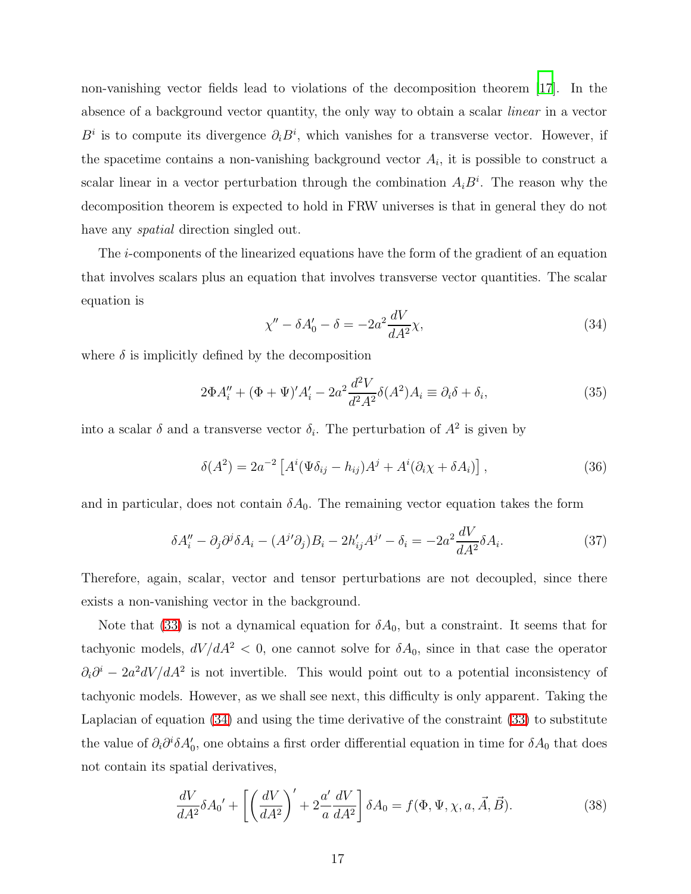non-vanishing vector fields lead to violations of the decomposition theorem [\[17\]](#page-25-9). In the absence of a background vector quantity, the only way to obtain a scalar linear in a vector  $B^i$  is to compute its divergence  $\partial_i B^i$ , which vanishes for a transverse vector. However, if the spacetime contains a non-vanishing background vector  $A_i$ , it is possible to construct a scalar linear in a vector perturbation through the combination  $A_i B^i$ . The reason why the decomposition theorem is expected to hold in FRW universes is that in general they do not have any *spatial* direction singled out.

<span id="page-17-0"></span>The i-components of the linearized equations have the form of the gradient of an equation that involves scalars plus an equation that involves transverse vector quantities. The scalar equation is

<span id="page-17-3"></span>
$$
\chi'' - \delta A_0' - \delta = -2a^2 \frac{dV}{dA^2} \chi,\tag{34}
$$

where  $\delta$  is implicitly defined by the decomposition

$$
2\Phi A_i'' + (\Phi + \Psi)' A_i' - 2a^2 \frac{d^2 V}{d^2 A^2} \delta(A^2) A_i \equiv \partial_i \delta + \delta_i,
$$
\n(35)

into a scalar  $\delta$  and a transverse vector  $\delta_i$ . The perturbation of  $A^2$  is given by

$$
\delta(A^2) = 2a^{-2} \left[ A^i (\Psi \delta_{ij} - h_{ij}) A^j + A^i (\partial_i \chi + \delta A_i) \right],
$$
\n(36)

<span id="page-17-2"></span>and in particular, does not contain  $\delta A_0$ . The remaining vector equation takes the form

$$
\delta A_i'' - \partial_j \partial^j \delta A_i - (A^{j'} \partial_j) B_i - 2h'_{ij} A^{j'} - \delta_i = -2a^2 \frac{dV}{dA^2} \delta A_i.
$$
 (37)

Therefore, again, scalar, vector and tensor perturbations are not decoupled, since there exists a non-vanishing vector in the background.

Note that [\(33\)](#page-16-1) is not a dynamical equation for  $\delta A_0$ , but a constraint. It seems that for tachyonic models,  $dV/dA^2 < 0$ , one cannot solve for  $\delta A_0$ , since in that case the operator  $\partial_i \partial^i - 2a^2 dV/dA^2$  is not invertible. This would point out to a potential inconsistency of tachyonic models. However, as we shall see next, this difficulty is only apparent. Taking the Laplacian of equation [\(34\)](#page-17-0) and using the time derivative of the constraint [\(33\)](#page-16-1) to substitute the value of  $\partial_i \partial^i \delta A_0'$ , one obtains a first order differential equation in time for  $\delta A_0$  that does not contain its spatial derivatives,

<span id="page-17-1"></span>
$$
\frac{dV}{dA^2} \delta A_0' + \left[ \left( \frac{dV}{dA^2} \right)' + 2 \frac{a'}{a} \frac{dV}{dA^2} \right] \delta A_0 = f(\Phi, \Psi, \chi, a, \vec{A}, \vec{B}). \tag{38}
$$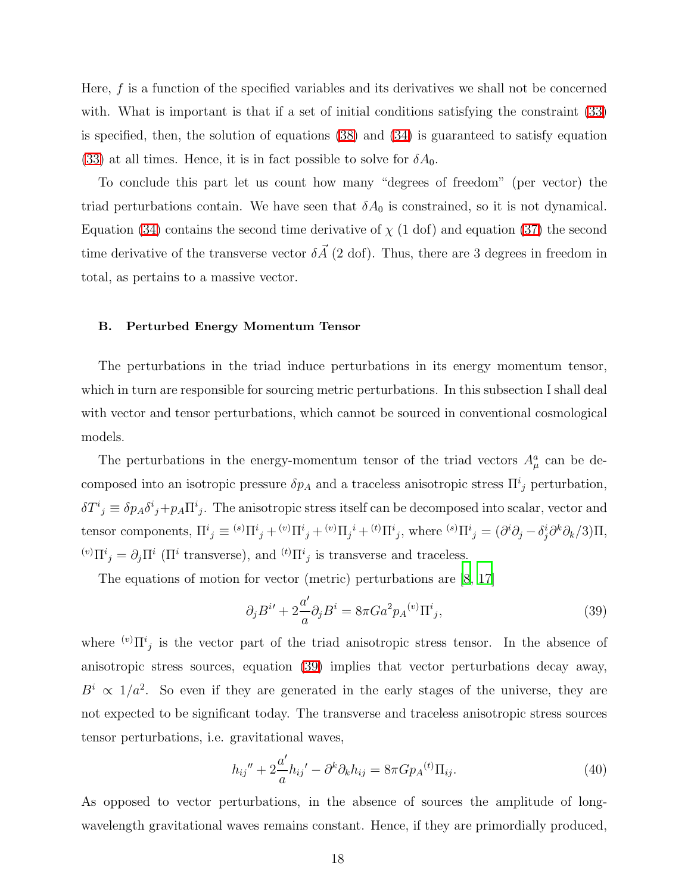Here, f is a function of the specified variables and its derivatives we shall not be concerned with. What is important is that if a set of initial conditions satisfying the constraint [\(33\)](#page-16-1) is specified, then, the solution of equations [\(38\)](#page-17-1) and [\(34\)](#page-17-0) is guaranteed to satisfy equation [\(33\)](#page-16-1) at all times. Hence, it is in fact possible to solve for  $\delta A_0$ .

To conclude this part let us count how many "degrees of freedom" (per vector) the triad perturbations contain. We have seen that  $\delta A_0$  is constrained, so it is not dynamical. Equation [\(34\)](#page-17-0) contains the second time derivative of  $\chi$  (1 dof) and equation [\(37\)](#page-17-2) the second time derivative of the transverse vector  $\delta \vec{A}$  (2 dof). Thus, there are 3 degrees in freedom in total, as pertains to a massive vector.

#### B. Perturbed Energy Momentum Tensor

The perturbations in the triad induce perturbations in its energy momentum tensor, which in turn are responsible for sourcing metric perturbations. In this subsection I shall deal with vector and tensor perturbations, which cannot be sourced in conventional cosmological models.

The perturbations in the energy-momentum tensor of the triad vectors  $A^a_\mu$  can be decomposed into an isotropic pressure  $\delta p_A$  and a traceless anisotropic stress  $\Pi^i_j$  perturbation,  $\delta T^i{}_j \equiv \delta p_A \delta^i{}_j + p_A \Pi^i{}_j$ . The anisotropic stress itself can be decomposed into scalar, vector and tensor components,  $\Pi^i{}_j \equiv {}^{(s)}\Pi^i{}_j + {}^{(v)}\Pi^i{}_j + {}^{(v)}\Pi_j{}^i + {}^{(t)}\Pi^i{}_j$ , where  ${}^{(s)}\Pi^i{}_j = (\partial^i\partial_j - \delta^i_j\partial^k\partial_k/3)\Pi$ , <sup>(v)</sup> $\Pi^i_j = \partial_j \Pi^i$  ( $\Pi^i$  transverse), and <sup>(t)</sup> $\Pi^i_j$  is transverse and traceless.

The equations of motion for vector (metric) perturbations are [\[8,](#page-25-1) [17\]](#page-25-9)

<span id="page-18-0"></span>
$$
\partial_j B^{i\prime} + 2\frac{a'}{a} \partial_j B^i = 8\pi G a^2 p_A^{(v)} \Pi^i{}_j,\tag{39}
$$

where  $(v) \prod_{j=1}^{i}$  is the vector part of the triad anisotropic stress tensor. In the absence of anisotropic stress sources, equation [\(39\)](#page-18-0) implies that vector perturbations decay away,  $B^i \propto 1/a^2$ . So even if they are generated in the early stages of the universe, they are not expected to be significant today. The transverse and traceless anisotropic stress sources tensor perturbations, i.e. gravitational waves,

$$
h_{ij}'' + 2\frac{a'}{a}h_{ij}' - \partial^k \partial_k h_{ij} = 8\pi G p_A^{(t)} \Pi_{ij}.
$$
 (40)

As opposed to vector perturbations, in the absence of sources the amplitude of longwavelength gravitational waves remains constant. Hence, if they are primordially produced,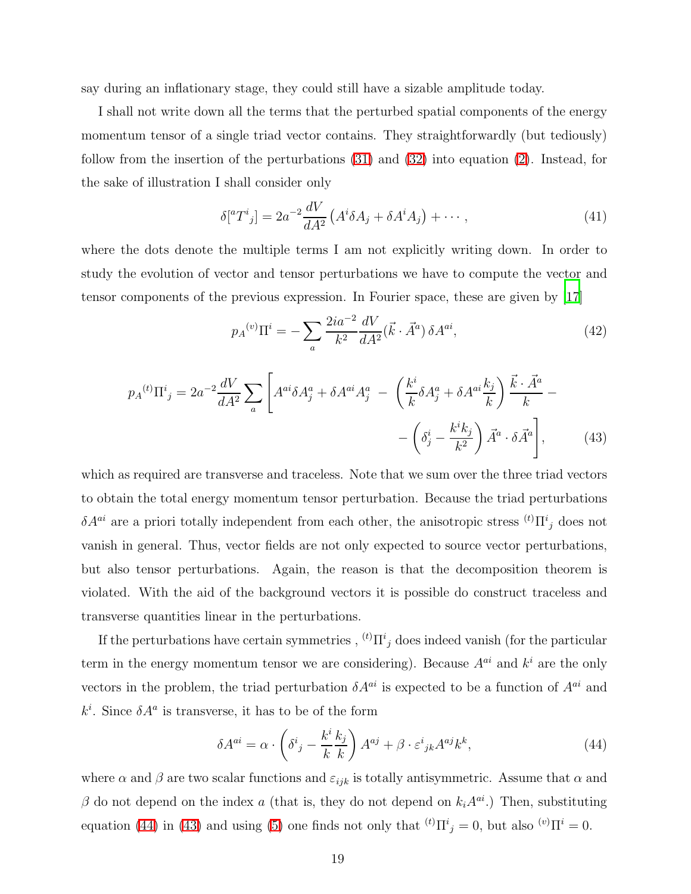say during an inflationary stage, they could still have a sizable amplitude today.

I shall not write down all the terms that the perturbed spatial components of the energy momentum tensor of a single triad vector contains. They straightforwardly (but tediously) follow from the insertion of the perturbations [\(31\)](#page-16-0) and [\(32\)](#page-16-2) into equation [\(2\)](#page-5-6). Instead, for the sake of illustration I shall consider only

$$
\delta[^{a}T^{i}{}_{j}]=2a^{-2}\frac{dV}{dA^{2}}\left(A^{i}\delta A_{j}+\delta A^{i}A_{j}\right)+\cdots, \qquad (41)
$$

where the dots denote the multiple terms I am not explicitly writing down. In order to study the evolution of vector and tensor perturbations we have to compute the vector and tensor components of the previous expression. In Fourier space, these are given by [\[17\]](#page-25-9)

$$
p_A^{(v)} \Pi^i = -\sum_a \frac{2ia^{-2}}{k^2} \frac{dV}{dA^2} (\vec{k} \cdot \vec{A}^a) \,\delta A^{ai},\tag{42}
$$

<span id="page-19-1"></span>
$$
p_A^{(t)} \Pi^i{}_j = 2a^{-2} \frac{dV}{dA^2} \sum_a \left[ A^{ai} \delta A^a_j + \delta A^{ai} A^a_j - \left( \frac{k^i}{k} \delta A^a_j + \delta A^{ai} \frac{k_j}{k} \right) \frac{\vec{k} \cdot \vec{A}^a}{k} - \left( \delta^i_j - \frac{k^i k_j}{k^2} \right) \vec{A}^a \cdot \delta \vec{A}^a \right], \tag{43}
$$

which as required are transverse and traceless. Note that we sum over the three triad vectors to obtain the total energy momentum tensor perturbation. Because the triad perturbations  $\delta A^{ai}$  are a priori totally independent from each other, the anisotropic stress  ${}^{(t)}\Pi^{i}{}_{j}$  does not vanish in general. Thus, vector fields are not only expected to source vector perturbations, but also tensor perturbations. Again, the reason is that the decomposition theorem is violated. With the aid of the background vectors it is possible do construct traceless and transverse quantities linear in the perturbations.

If the perturbations have certain symmetries ,  ${}^{(t)}\Pi^{i}{}_{j}$  does indeed vanish (for the particular term in the energy momentum tensor we are considering). Because  $A^{ai}$  and  $k^i$  are the only vectors in the problem, the triad perturbation  $\delta A^{ai}$  is expected to be a function of  $A^{ai}$  and  $k^i$ . Since  $\delta A^a$  is transverse, it has to be of the form

<span id="page-19-0"></span>
$$
\delta A^{ai} = \alpha \cdot \left(\delta^i{}_j - \frac{k^i}{k} \frac{k_j}{k}\right) A^{aj} + \beta \cdot \varepsilon^i{}_{jk} A^{aj} k^k,\tag{44}
$$

where  $\alpha$  and  $\beta$  are two scalar functions and  $\varepsilon_{ijk}$  is totally antisymmetric. Assume that  $\alpha$  and  $\beta$  do not depend on the index a (that is, they do not depend on  $k_iA^{ai}$ .) Then, substituting equation [\(44\)](#page-19-0) in [\(43\)](#page-19-1) and using [\(5\)](#page-5-0) one finds not only that  ${}^{(t)}\Pi^{i}{}_{j}=0$ , but also  ${}^{(v)}\Pi^{i}=0$ .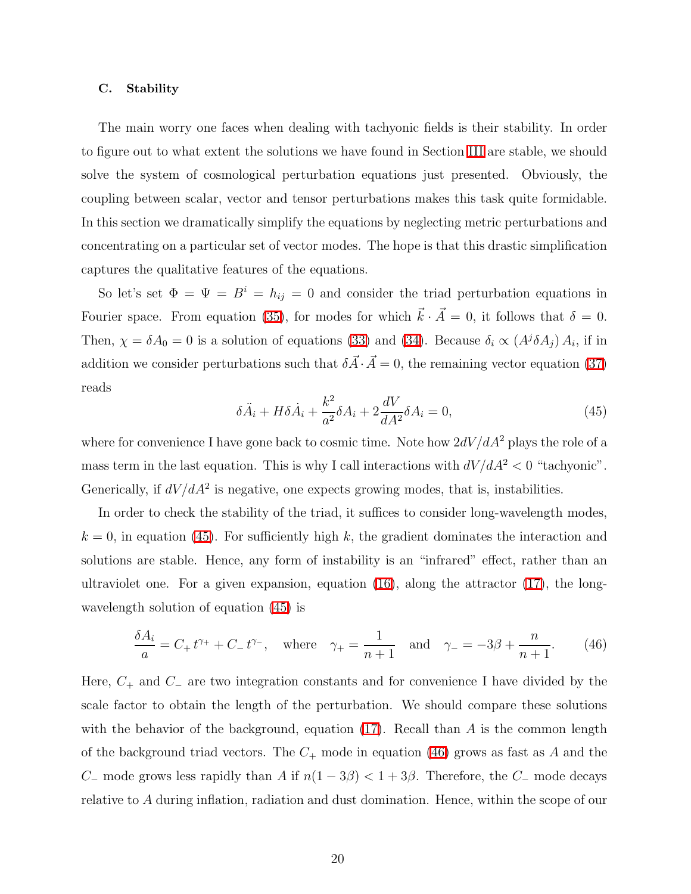#### C. Stability

The main worry one faces when dealing with tachyonic fields is their stability. In order to figure out to what extent the solutions we have found in Section [III](#page-8-2) are stable, we should solve the system of cosmological perturbation equations just presented. Obviously, the coupling between scalar, vector and tensor perturbations makes this task quite formidable. In this section we dramatically simplify the equations by neglecting metric perturbations and concentrating on a particular set of vector modes. The hope is that this drastic simplification captures the qualitative features of the equations.

<span id="page-20-0"></span>So let's set  $\Phi = \Psi = B^i = h_{ij} = 0$  and consider the triad perturbation equations in Fourier space. From equation [\(35\)](#page-17-3), for modes for which  $\vec{k} \cdot \vec{A} = 0$ , it follows that  $\delta = 0$ . Then,  $\chi = \delta A_0 = 0$  is a solution of equations [\(33\)](#page-16-1) and [\(34\)](#page-17-0). Because  $\delta_i \propto (A^j \delta A_j) A_i$ , if in addition we consider perturbations such that  $\delta \vec{A} \cdot \vec{A} = 0$ , the remaining vector equation [\(37\)](#page-17-2) reads

$$
\delta \ddot{A}_i + H \delta \dot{A}_i + \frac{k^2}{a^2} \delta A_i + 2 \frac{dV}{dA^2} \delta A_i = 0,\tag{45}
$$

where for convenience I have gone back to cosmic time. Note how  $2dV/dA^2$  plays the role of a mass term in the last equation. This is why I call interactions with  $dV/dA^2 < 0$  "tachyonic". Generically, if  $dV/dA^2$  is negative, one expects growing modes, that is, instabilities.

In order to check the stability of the triad, it suffices to consider long-wavelength modes,  $k = 0$ , in equation [\(45\)](#page-20-0). For sufficiently high k, the gradient dominates the interaction and solutions are stable. Hence, any form of instability is an "infrared" effect, rather than an ultraviolet one. For a given expansion, equation  $(16)$ , along the attractor  $(17)$ , the longwavelength solution of equation [\(45\)](#page-20-0) is

<span id="page-20-1"></span>
$$
\frac{\delta A_i}{a} = C_+ t^{\gamma_+} + C_- t^{\gamma_-}, \text{ where } \gamma_+ = \frac{1}{n+1} \text{ and } \gamma_- = -3\beta + \frac{n}{n+1}.
$$
 (46)

Here,  $C_+$  and  $C_-\$  are two integration constants and for convenience I have divided by the scale factor to obtain the length of the perturbation. We should compare these solutions with the behavior of the background, equation [\(17\)](#page-9-1). Recall than  $A$  is the common length of the background triad vectors. The  $C_+$  mode in equation [\(46\)](#page-20-1) grows as fast as A and the C<sub>−</sub> mode grows less rapidly than A if  $n(1-3\beta) < 1+3\beta$ . Therefore, the C<sub>−</sub> mode decays relative to A during inflation, radiation and dust domination. Hence, within the scope of our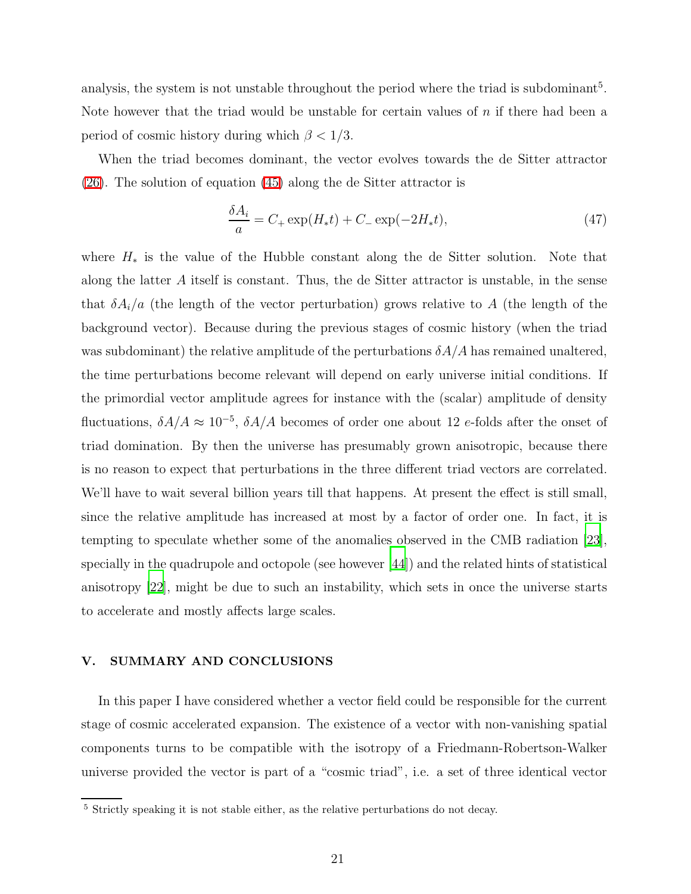analysis, the system is not unstable throughout the period where the triad is subdominant<sup>5</sup>. Note however that the triad would be unstable for certain values of  $n$  if there had been a period of cosmic history during which  $\beta < 1/3$ .

When the triad becomes dominant, the vector evolves towards the de Sitter attractor [\(26\)](#page-11-4). The solution of equation [\(45\)](#page-20-0) along the de Sitter attractor is

$$
\frac{\delta A_i}{a} = C_+ \exp(H_* t) + C_- \exp(-2H_* t),\tag{47}
$$

where  $H_*$  is the value of the Hubble constant along the de Sitter solution. Note that along the latter A itself is constant. Thus, the de Sitter attractor is unstable, in the sense that  $\delta A_i/a$  (the length of the vector perturbation) grows relative to A (the length of the background vector). Because during the previous stages of cosmic history (when the triad was subdominant) the relative amplitude of the perturbations  $\delta A/A$  has remained unaltered, the time perturbations become relevant will depend on early universe initial conditions. If the primordial vector amplitude agrees for instance with the (scalar) amplitude of density fluctuations,  $\delta A/A \approx 10^{-5}$ ,  $\delta A/A$  becomes of order one about 12 e-folds after the onset of triad domination. By then the universe has presumably grown anisotropic, because there is no reason to expect that perturbations in the three different triad vectors are correlated. We'll have to wait several billion years till that happens. At present the effect is still small, since the relative amplitude has increased at most by a factor of order one. In fact, it is tempting to speculate whether some of the anomalies observed in the CMB radiation [\[23\]](#page-26-4), specially in the quadrupole and octopole (see however [\[44](#page-28-4)]) and the related hints of statistical anisotropy [\[22\]](#page-26-3), might be due to such an instability, which sets in once the universe starts to accelerate and mostly affects large scales.

# V. SUMMARY AND CONCLUSIONS

In this paper I have considered whether a vector field could be responsible for the current stage of cosmic accelerated expansion. The existence of a vector with non-vanishing spatial components turns to be compatible with the isotropy of a Friedmann-Robertson-Walker universe provided the vector is part of a "cosmic triad", i.e. a set of three identical vector

<sup>5</sup> Strictly speaking it is not stable either, as the relative perturbations do not decay.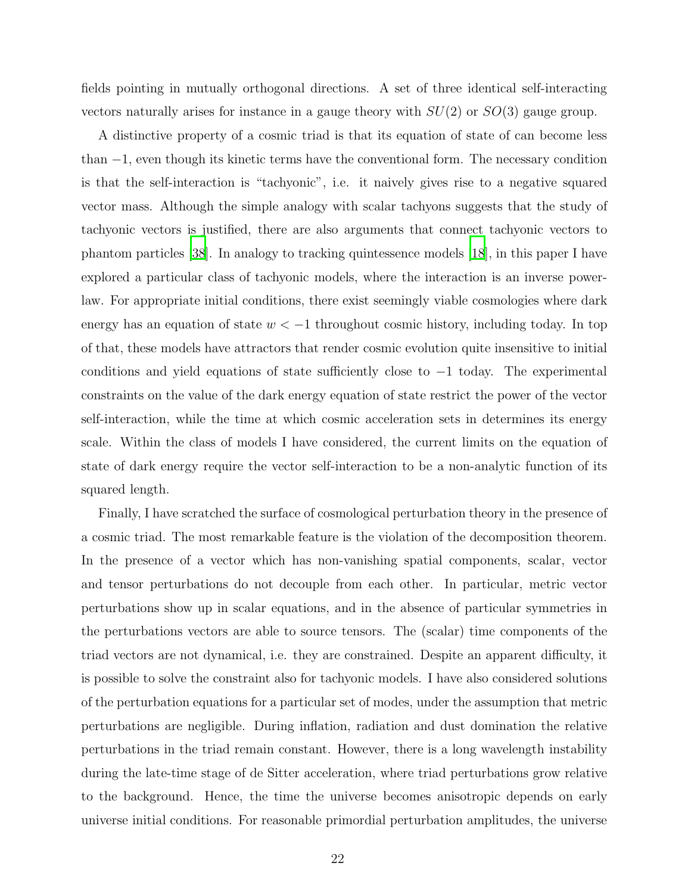fields pointing in mutually orthogonal directions. A set of three identical self-interacting vectors naturally arises for instance in a gauge theory with  $SU(2)$  or  $SO(3)$  gauge group.

A distinctive property of a cosmic triad is that its equation of state of can become less than −1, even though its kinetic terms have the conventional form. The necessary condition is that the self-interaction is "tachyonic", i.e. it naively gives rise to a negative squared vector mass. Although the simple analogy with scalar tachyons suggests that the study of tachyonic vectors is justified, there are also arguments that connect tachyonic vectors to phantom particles [\[38\]](#page-27-9). In analogy to tracking quintessence models [\[18\]](#page-25-11), in this paper I have explored a particular class of tachyonic models, where the interaction is an inverse powerlaw. For appropriate initial conditions, there exist seemingly viable cosmologies where dark energy has an equation of state  $w < -1$  throughout cosmic history, including today. In top of that, these models have attractors that render cosmic evolution quite insensitive to initial conditions and yield equations of state sufficiently close to −1 today. The experimental constraints on the value of the dark energy equation of state restrict the power of the vector self-interaction, while the time at which cosmic acceleration sets in determines its energy scale. Within the class of models I have considered, the current limits on the equation of state of dark energy require the vector self-interaction to be a non-analytic function of its squared length.

Finally, I have scratched the surface of cosmological perturbation theory in the presence of a cosmic triad. The most remarkable feature is the violation of the decomposition theorem. In the presence of a vector which has non-vanishing spatial components, scalar, vector and tensor perturbations do not decouple from each other. In particular, metric vector perturbations show up in scalar equations, and in the absence of particular symmetries in the perturbations vectors are able to source tensors. The (scalar) time components of the triad vectors are not dynamical, i.e. they are constrained. Despite an apparent difficulty, it is possible to solve the constraint also for tachyonic models. I have also considered solutions of the perturbation equations for a particular set of modes, under the assumption that metric perturbations are negligible. During inflation, radiation and dust domination the relative perturbations in the triad remain constant. However, there is a long wavelength instability during the late-time stage of de Sitter acceleration, where triad perturbations grow relative to the background. Hence, the time the universe becomes anisotropic depends on early universe initial conditions. For reasonable primordial perturbation amplitudes, the universe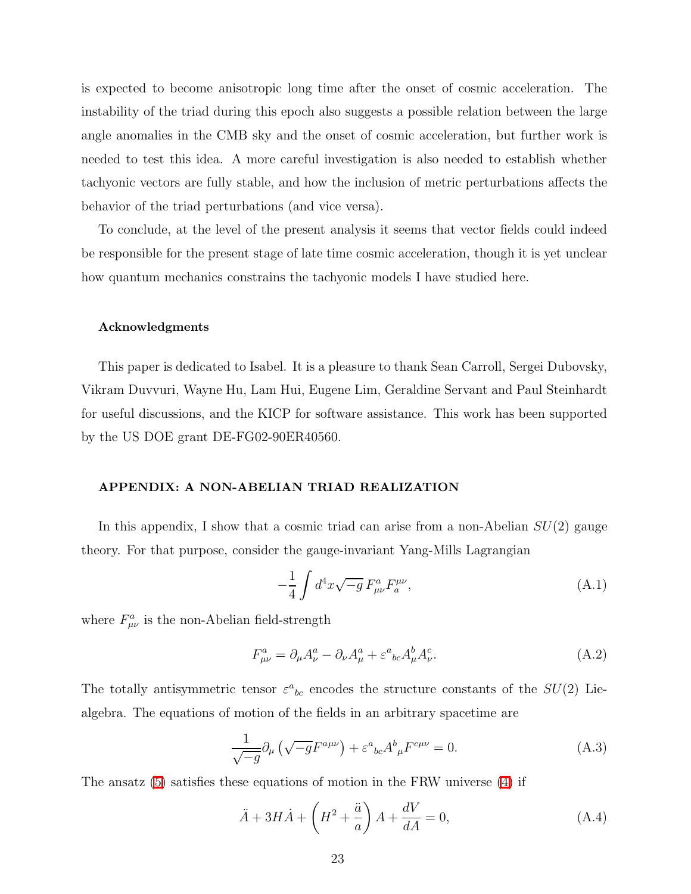is expected to become anisotropic long time after the onset of cosmic acceleration. The instability of the triad during this epoch also suggests a possible relation between the large angle anomalies in the CMB sky and the onset of cosmic acceleration, but further work is needed to test this idea. A more careful investigation is also needed to establish whether tachyonic vectors are fully stable, and how the inclusion of metric perturbations affects the behavior of the triad perturbations (and vice versa).

To conclude, at the level of the present analysis it seems that vector fields could indeed be responsible for the present stage of late time cosmic acceleration, though it is yet unclear how quantum mechanics constrains the tachyonic models I have studied here.

#### Acknowledgments

This paper is dedicated to Isabel. It is a pleasure to thank Sean Carroll, Sergei Dubovsky, Vikram Duvvuri, Wayne Hu, Lam Hui, Eugene Lim, Geraldine Servant and Paul Steinhardt for useful discussions, and the KICP for software assistance. This work has been supported by the US DOE grant DE-FG02-90ER40560.

# APPENDIX: A NON-ABELIAN TRIAD REALIZATION

In this appendix, I show that a cosmic triad can arise from a non-Abelian  $SU(2)$  gauge theory. For that purpose, consider the gauge-invariant Yang-Mills Lagrangian

<span id="page-23-1"></span>
$$
-\frac{1}{4} \int d^4x \sqrt{-g} \, F^a_{\mu\nu} F^{\mu\nu}_a, \tag{A.1}
$$

where  $F^a_{\mu\nu}$  is the non-Abelian field-strength

$$
F^a_{\mu\nu} = \partial_\mu A^a_\nu - \partial_\nu A^a_\mu + \varepsilon^a{}_{bc} A^b_\mu A^c_\nu.
$$
 (A.2)

The totally antisymmetric tensor  $\varepsilon^a{}_{bc}$  encodes the structure constants of the  $SU(2)$  Liealgebra. The equations of motion of the fields in an arbitrary spacetime are

<span id="page-23-0"></span>
$$
\frac{1}{\sqrt{-g}}\partial_{\mu}\left(\sqrt{-g}F^{a\mu\nu}\right) + \varepsilon^{a}{}_{bc}A^{b}{}_{\mu}F^{c\mu\nu} = 0. \tag{A.3}
$$

The ansatz [\(5\)](#page-5-0) satisfies these equations of motion in the FRW universe [\(4\)](#page-5-1) if

$$
\ddot{A} + 3H\dot{A} + \left(H^2 + \frac{\ddot{a}}{a}\right)A + \frac{dV}{dA} = 0,\tag{A.4}
$$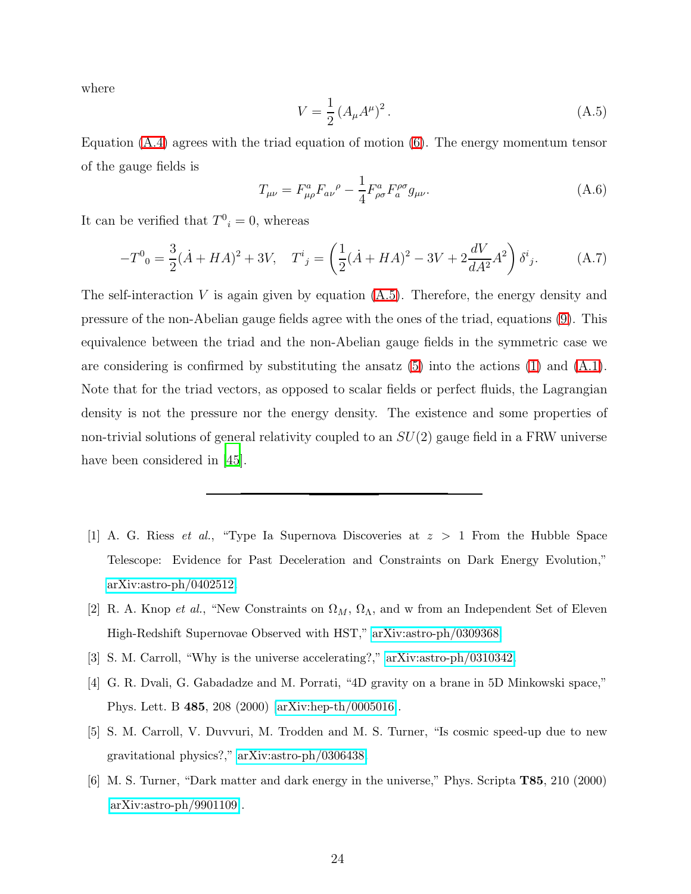<span id="page-24-6"></span>where

$$
V = \frac{1}{2} (A_{\mu} A^{\mu})^2.
$$
 (A.5)

Equation [\(A.4\)](#page-23-0) agrees with the triad equation of motion [\(6\)](#page-5-3). The energy momentum tensor of the gauge fields is

$$
T_{\mu\nu} = F^{a}_{\mu\rho} F_{a\nu}{}^{\rho} - \frac{1}{4} F^{a}_{\rho\sigma} F^{{\rho\sigma}}_{a} g_{\mu\nu}.
$$
 (A.6)

It can be verified that  $T^0_i = 0$ , whereas

$$
-T^{0}{}_{0} = \frac{3}{2}(\dot{A} + HA)^{2} + 3V, \quad T^{i}{}_{j} = \left(\frac{1}{2}(\dot{A} + HA)^{2} - 3V + 2\frac{dV}{dA^{2}}A^{2}\right)\delta^{i}{}_{j}.
$$
 (A.7)

The self-interaction  $V$  is again given by equation  $(A.5)$ . Therefore, the energy density and pressure of the non-Abelian gauge fields agree with the ones of the triad, equations [\(9\)](#page-6-0). This equivalence between the triad and the non-Abelian gauge fields in the symmetric case we are considering is confirmed by substituting the ansatz  $(5)$  into the actions  $(1)$  and  $(A.1)$ . Note that for the triad vectors, as opposed to scalar fields or perfect fluids, the Lagrangian density is not the pressure nor the energy density. The existence and some properties of non-trivial solutions of general relativity coupled to an  $SU(2)$  gauge field in a FRW universe have been considered in [\[45\]](#page-28-5).

- <span id="page-24-0"></span>[1] A. G. Riess *et al.*, "Type Ia Supernova Discoveries at  $z > 1$  From the Hubble Space Telescope: Evidence for Past Deceleration and Constraints on Dark Energy Evolution," [arXiv:astro-ph/0402512.](http://arXiv.org/abs/astro-ph/0402512)
- <span id="page-24-1"></span>[2] R. A. Knop et al., "New Constraints on  $\Omega_M$ ,  $\Omega_{\Lambda}$ , and w from an Independent Set of Eleven High-Redshift Supernovae Observed with HST," [arXiv:astro-ph/0309368.](http://arXiv.org/abs/astro-ph/0309368)
- <span id="page-24-2"></span>[3] S. M. Carroll, "Why is the universe accelerating?," [arXiv:astro-ph/0310342.](http://arXiv.org/abs/astro-ph/0310342)
- <span id="page-24-3"></span>[4] G. R. Dvali, G. Gabadadze and M. Porrati, "4D gravity on a brane in 5D Minkowski space," Phys. Lett. B 485, 208 (2000) [\[arXiv:hep-th/0005016\]](http://arXiv.org/abs/hep-th/0005016).
- <span id="page-24-4"></span>[5] S. M. Carroll, V. Duvvuri, M. Trodden and M. S. Turner, "Is cosmic speed-up due to new gravitational physics?," [arXiv:astro-ph/0306438.](http://arXiv.org/abs/astro-ph/0306438)
- <span id="page-24-5"></span>[6] M. S. Turner, "Dark matter and dark energy in the universe," Phys. Scripta T85, 210 (2000) [\[arXiv:astro-ph/9901109\]](http://arXiv.org/abs/astro-ph/9901109).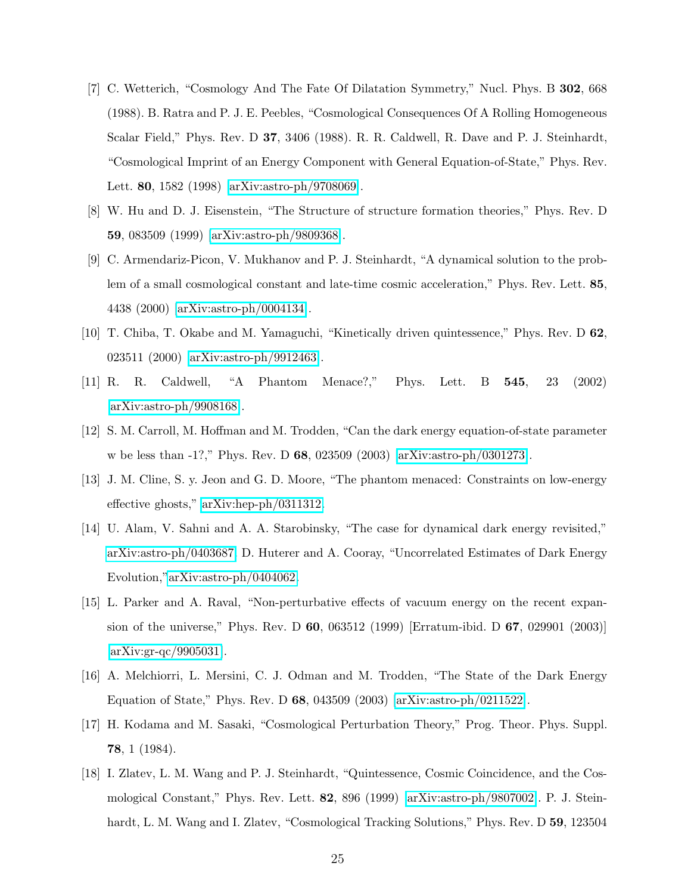- <span id="page-25-0"></span>[7] C. Wetterich, "Cosmology And The Fate Of Dilatation Symmetry," Nucl. Phys. B 302, 668 (1988). B. Ratra and P. J. E. Peebles, "Cosmological Consequences Of A Rolling Homogeneous Scalar Field," Phys. Rev. D 37, 3406 (1988). R. R. Caldwell, R. Dave and P. J. Steinhardt, "Cosmological Imprint of an Energy Component with General Equation-of-State," Phys. Rev. Lett. 80, 1582 (1998) [\[arXiv:astro-ph/9708069\]](http://arXiv.org/abs/astro-ph/9708069).
- <span id="page-25-1"></span>[8] W. Hu and D. J. Eisenstein, "The Structure of structure formation theories," Phys. Rev. D 59, 083509 (1999) [\[arXiv:astro-ph/9809368\]](http://arXiv.org/abs/astro-ph/9809368).
- <span id="page-25-2"></span>[9] C. Armendariz-Picon, V. Mukhanov and P. J. Steinhardt, "A dynamical solution to the problem of a small cosmological constant and late-time cosmic acceleration," Phys. Rev. Lett. 85, 4438 (2000) [\[arXiv:astro-ph/0004134\]](http://arXiv.org/abs/astro-ph/0004134).
- <span id="page-25-3"></span>[10] T. Chiba, T. Okabe and M. Yamaguchi, "Kinetically driven quintessence," Phys. Rev. D 62, 023511 (2000) [\[arXiv:astro-ph/9912463\]](http://arXiv.org/abs/astro-ph/9912463).
- <span id="page-25-4"></span>[11] R. R. Caldwell, "A Phantom Menace?," Phys. Lett. B 545, 23 (2002) [\[arXiv:astro-ph/9908168\]](http://arXiv.org/abs/astro-ph/9908168).
- <span id="page-25-5"></span>[12] S. M. Carroll, M. Hoffman and M. Trodden, "Can the dark energy equation-of-state parameter w be less than -1?," Phys. Rev. D 68, 023509 (2003) [\[arXiv:astro-ph/0301273\]](http://arXiv.org/abs/astro-ph/0301273).
- <span id="page-25-6"></span>[13] J. M. Cline, S. y. Jeon and G. D. Moore, "The phantom menaced: Constraints on low-energy effective ghosts," [arXiv:hep-ph/0311312.](http://arXiv.org/abs/hep-ph/0311312)
- <span id="page-25-7"></span>[14] U. Alam, V. Sahni and A. A. Starobinsky, "The case for dynamical dark energy revisited," [arXiv:astro-ph/0403687.](http://arXiv.org/abs/astro-ph/0403687) D. Huterer and A. Cooray, "Uncorrelated Estimates of Dark Energy Evolution,["arXiv:astro-ph/0404062.](http://arXiv.org/abs/astro-ph/0404062)
- <span id="page-25-10"></span>[15] L. Parker and A. Raval, "Non-perturbative effects of vacuum energy on the recent expansion of the universe," Phys. Rev. D 60, 063512 (1999) [Erratum-ibid. D 67, 029901 (2003)] [\[arXiv:gr-qc/9905031\]](http://arXiv.org/abs/gr-qc/9905031).
- <span id="page-25-8"></span>[16] A. Melchiorri, L. Mersini, C. J. Odman and M. Trodden, "The State of the Dark Energy Equation of State," Phys. Rev. D 68, 043509 (2003) [\[arXiv:astro-ph/0211522\]](http://arXiv.org/abs/astro-ph/0211522).
- <span id="page-25-9"></span>[17] H. Kodama and M. Sasaki, "Cosmological Perturbation Theory," Prog. Theor. Phys. Suppl. 78, 1 (1984).
- <span id="page-25-11"></span>[18] I. Zlatev, L. M. Wang and P. J. Steinhardt, "Quintessence, Cosmic Coincidence, and the Cosmological Constant," Phys. Rev. Lett. 82, 896 (1999) [\[arXiv:astro-ph/9807002\]](http://arXiv.org/abs/astro-ph/9807002). P. J. Steinhardt, L. M. Wang and I. Zlatev, "Cosmological Tracking Solutions," Phys. Rev. D 59, 123504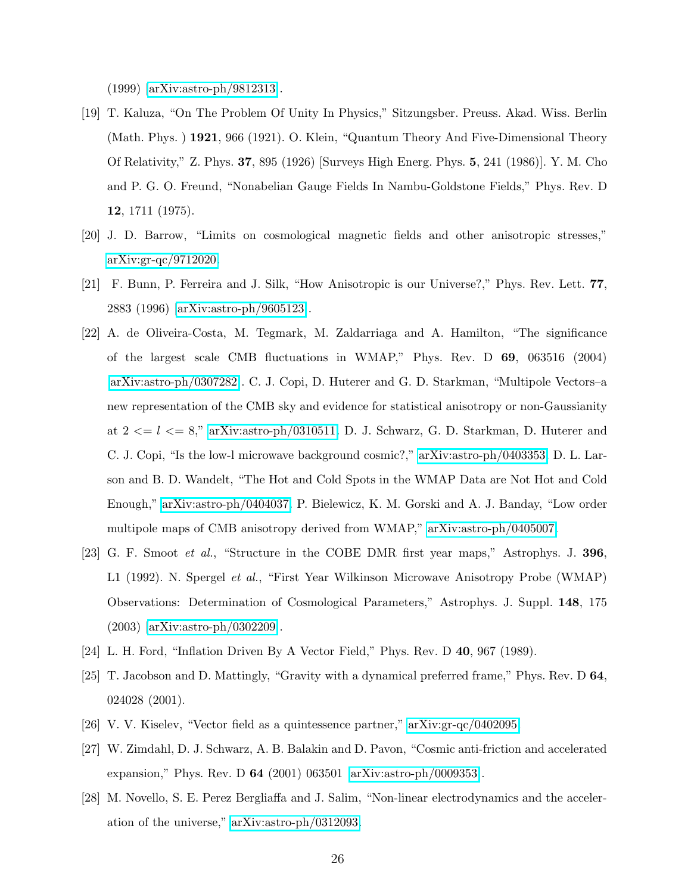(1999) [\[arXiv:astro-ph/9812313\]](http://arXiv.org/abs/astro-ph/9812313).

- <span id="page-26-0"></span>[19] T. Kaluza, "On The Problem Of Unity In Physics," Sitzungsber. Preuss. Akad. Wiss. Berlin (Math. Phys. ) 1921, 966 (1921). O. Klein, "Quantum Theory And Five-Dimensional Theory Of Relativity," Z. Phys. 37, 895 (1926) [Surveys High Energ. Phys. 5, 241 (1986)]. Y. M. Cho and P. G. O. Freund, "Nonabelian Gauge Fields In Nambu-Goldstone Fields," Phys. Rev. D 12, 1711 (1975).
- <span id="page-26-1"></span>[20] J. D. Barrow, "Limits on cosmological magnetic fields and other anisotropic stresses," [arXiv:gr-qc/9712020.](http://arXiv.org/abs/gr-qc/9712020)
- <span id="page-26-2"></span>[21] F. Bunn, P. Ferreira and J. Silk, "How Anisotropic is our Universe?," Phys. Rev. Lett. 77, 2883 (1996) [\[arXiv:astro-ph/9605123\]](http://arXiv.org/abs/astro-ph/9605123).
- <span id="page-26-3"></span>[22] A. de Oliveira-Costa, M. Tegmark, M. Zaldarriaga and A. Hamilton, "The significance of the largest scale CMB fluctuations in WMAP," Phys. Rev. D 69, 063516 (2004) [\[arXiv:astro-ph/0307282\]](http://arXiv.org/abs/astro-ph/0307282). C. J. Copi, D. Huterer and G. D. Starkman, "Multipole Vectors–a new representation of the CMB sky and evidence for statistical anisotropy or non-Gaussianity at  $2 \le l \le 8$ ," [arXiv:astro-ph/0310511.](http://arXiv.org/abs/astro-ph/0310511) D. J. Schwarz, G. D. Starkman, D. Huterer and C. J. Copi, "Is the low-l microwave background cosmic?," [arXiv:astro-ph/0403353.](http://arXiv.org/abs/astro-ph/0403353) D. L. Larson and B. D. Wandelt, "The Hot and Cold Spots in the WMAP Data are Not Hot and Cold Enough," [arXiv:astro-ph/0404037.](http://arXiv.org/abs/astro-ph/0404037) P. Bielewicz, K. M. Gorski and A. J. Banday, "Low order multipole maps of CMB anisotropy derived from WMAP," [arXiv:astro-ph/0405007.](http://arXiv.org/abs/astro-ph/0405007)
- <span id="page-26-4"></span>[23] G. F. Smoot et al., "Structure in the COBE DMR first year maps," Astrophys. J. 396, L1 (1992). N. Spergel et al., "First Year Wilkinson Microwave Anisotropy Probe (WMAP) Observations: Determination of Cosmological Parameters," Astrophys. J. Suppl. 148, 175 (2003) [\[arXiv:astro-ph/0302209\]](http://arXiv.org/abs/astro-ph/0302209).
- <span id="page-26-5"></span>[24] L. H. Ford, "Inflation Driven By A Vector Field," Phys. Rev. D 40, 967 (1989).
- <span id="page-26-6"></span>[25] T. Jacobson and D. Mattingly, "Gravity with a dynamical preferred frame," Phys. Rev. D 64, 024028 (2001).
- <span id="page-26-7"></span>[26] V. V. Kiselev, "Vector field as a quintessence partner," [arXiv:gr-qc/0402095.](http://arXiv.org/abs/gr-qc/0402095)
- <span id="page-26-8"></span>[27] W. Zimdahl, D. J. Schwarz, A. B. Balakin and D. Pavon, "Cosmic anti-friction and accelerated expansion," Phys. Rev. D 64 (2001) 063501 [\[arXiv:astro-ph/0009353\]](http://arXiv.org/abs/astro-ph/0009353).
- <span id="page-26-9"></span>[28] M. Novello, S. E. Perez Bergliaffa and J. Salim, "Non-linear electrodynamics and the acceleration of the universe," [arXiv:astro-ph/0312093.](http://arXiv.org/abs/astro-ph/0312093)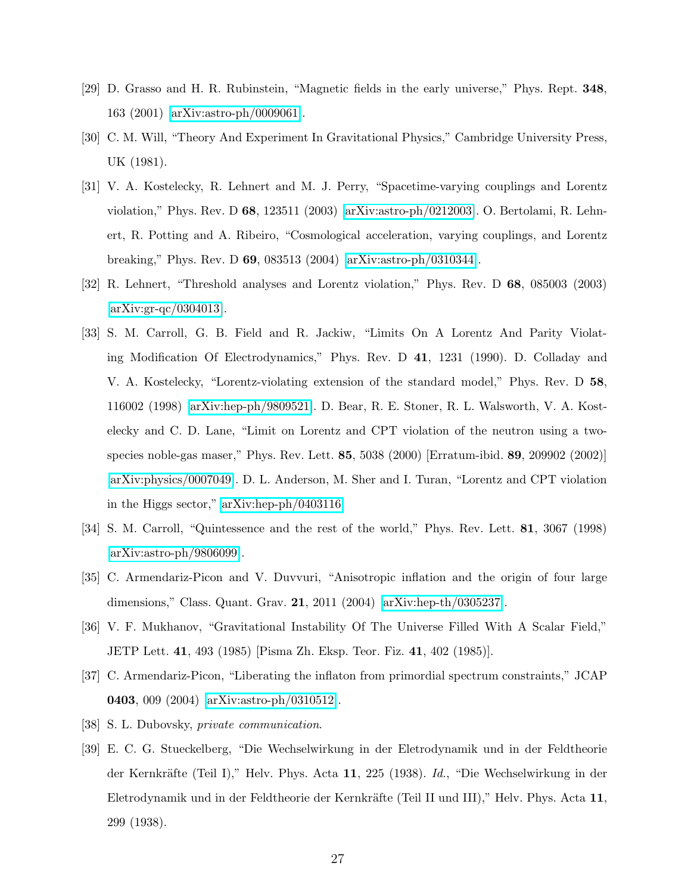- <span id="page-27-0"></span>[29] D. Grasso and H. R. Rubinstein, "Magnetic fields in the early universe," Phys. Rept. 348, 163 (2001) [\[arXiv:astro-ph/0009061\]](http://arXiv.org/abs/astro-ph/0009061).
- <span id="page-27-1"></span>[30] C. M. Will, "Theory And Experiment In Gravitational Physics," Cambridge University Press, UK (1981).
- <span id="page-27-4"></span>[31] V. A. Kostelecky, R. Lehnert and M. J. Perry, "Spacetime-varying couplings and Lorentz violation," Phys. Rev. D 68, 123511 (2003) [\[arXiv:astro-ph/0212003\]](http://arXiv.org/abs/astro-ph/0212003). O. Bertolami, R. Lehnert, R. Potting and A. Ribeiro, "Cosmological acceleration, varying couplings, and Lorentz breaking," Phys. Rev. D 69, 083513 (2004) [\[arXiv:astro-ph/0310344\]](http://arXiv.org/abs/astro-ph/0310344).
- <span id="page-27-5"></span>[32] R. Lehnert, "Threshold analyses and Lorentz violation," Phys. Rev. D 68, 085003 (2003) [\[arXiv:gr-qc/0304013\]](http://arXiv.org/abs/gr-qc/0304013).
- <span id="page-27-2"></span>[33] S. M. Carroll, G. B. Field and R. Jackiw, "Limits On A Lorentz And Parity Violating Modification Of Electrodynamics," Phys. Rev. D 41, 1231 (1990). D. Colladay and V. A. Kostelecky, "Lorentz-violating extension of the standard model," Phys. Rev. D 58, 116002 (1998) [\[arXiv:hep-ph/9809521\]](http://arXiv.org/abs/hep-ph/9809521). D. Bear, R. E. Stoner, R. L. Walsworth, V. A. Kostelecky and C. D. Lane, "Limit on Lorentz and CPT violation of the neutron using a twospecies noble-gas maser," Phys. Rev. Lett. 85, 5038 (2000) [Erratum-ibid. 89, 209902 (2002)] [\[arXiv:physics/0007049\]](http://arXiv.org/abs/physics/0007049). D. L. Anderson, M. Sher and I. Turan, "Lorentz and CPT violation in the Higgs sector," [arXiv:hep-ph/0403116.](http://arXiv.org/abs/hep-ph/0403116)
- <span id="page-27-3"></span>[34] S. M. Carroll, "Quintessence and the rest of the world," Phys. Rev. Lett. 81, 3067 (1998) [\[arXiv:astro-ph/9806099\]](http://arXiv.org/abs/astro-ph/9806099).
- <span id="page-27-6"></span>[35] C. Armendariz-Picon and V. Duvvuri, "Anisotropic inflation and the origin of four large dimensions," Class. Quant. Grav. 21, 2011 (2004) [\[arXiv:hep-th/0305237\]](http://arXiv.org/abs/hep-th/0305237).
- <span id="page-27-7"></span>[36] V. F. Mukhanov, "Gravitational Instability Of The Universe Filled With A Scalar Field," JETP Lett. 41, 493 (1985) [Pisma Zh. Eksp. Teor. Fiz. 41, 402 (1985)].
- <span id="page-27-8"></span>[37] C. Armendariz-Picon, "Liberating the inflaton from primordial spectrum constraints," JCAP 0403, 009 (2004) [\[arXiv:astro-ph/0310512\]](http://arXiv.org/abs/astro-ph/0310512).
- <span id="page-27-9"></span>[38] S. L. Dubovsky, private communication.
- <span id="page-27-10"></span>[39] E. C. G. Stueckelberg, "Die Wechselwirkung in der Eletrodynamik und in der Feldtheorie der Kernkräfte (Teil I)," Helv. Phys. Acta 11, 225 (1938). Id., "Die Wechselwirkung in der Eletrodynamik und in der Feldtheorie der Kernkräfte (Teil II und III)," Helv. Phys. Acta 11, 299 (1938).